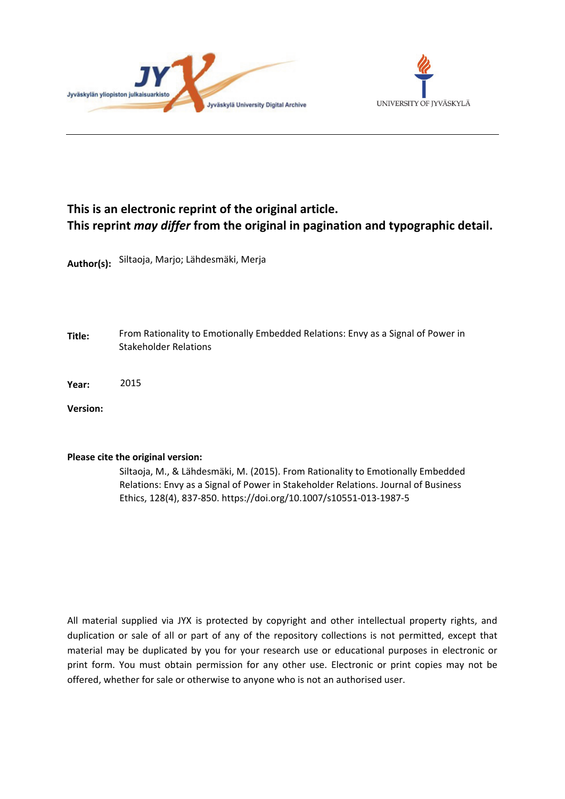



## **This is an electronic reprint of the original article. This reprint** *may differ* **from the original in pagination and typographic detail.**

**Author(s):**  Siltaoja, Marjo; Lähdesmäki, Merja

**Title:** From Rationality to Emotionally Embedded Relations: Envy as a Signal of Power in Stakeholder Relations

**Year:**  2015

**Version:**

### **Please cite the original version:**

Siltaoja, M., & Lähdesmäki, M. (2015). From Rationality to Emotionally Embedded Relations: Envy as a Signal of Power in Stakeholder Relations. Journal of Business Ethics, 128(4), 837-850. https://doi.org/10.1007/s10551-013-1987-5

All material supplied via JYX is protected by copyright and other intellectual property rights, and duplication or sale of all or part of any of the repository collections is not permitted, except that material may be duplicated by you for your research use or educational purposes in electronic or print form. You must obtain permission for any other use. Electronic or print copies may not be offered, whether for sale or otherwise to anyone who is not an authorised user.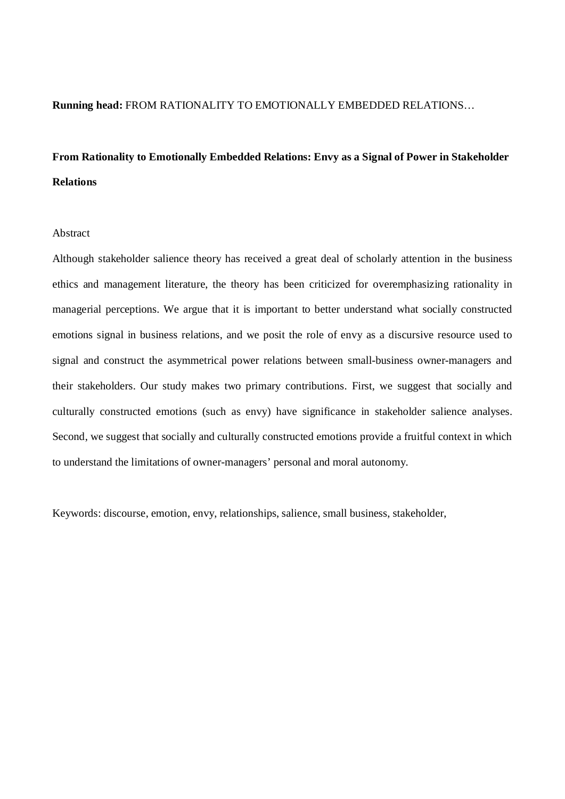## **Running head:** FROM RATIONALITY TO EMOTIONALLY EMBEDDED RELATIONS…

# **From Rationality to Emotionally Embedded Relations: Envy as a Signal of Power in Stakeholder Relations**

## Abstract

Although stakeholder salience theory has received a great deal of scholarly attention in the business ethics and management literature, the theory has been criticized for overemphasizing rationality in managerial perceptions. We argue that it is important to better understand what socially constructed emotions signal in business relations, and we posit the role of envy as a discursive resource used to signal and construct the asymmetrical power relations between small-business owner-managers and their stakeholders. Our study makes two primary contributions. First, we suggest that socially and culturally constructed emotions (such as envy) have significance in stakeholder salience analyses. Second, we suggest that socially and culturally constructed emotions provide a fruitful context in which to understand the limitations of owner-managers' personal and moral autonomy.

Keywords: discourse, emotion, envy, relationships, salience, small business, stakeholder,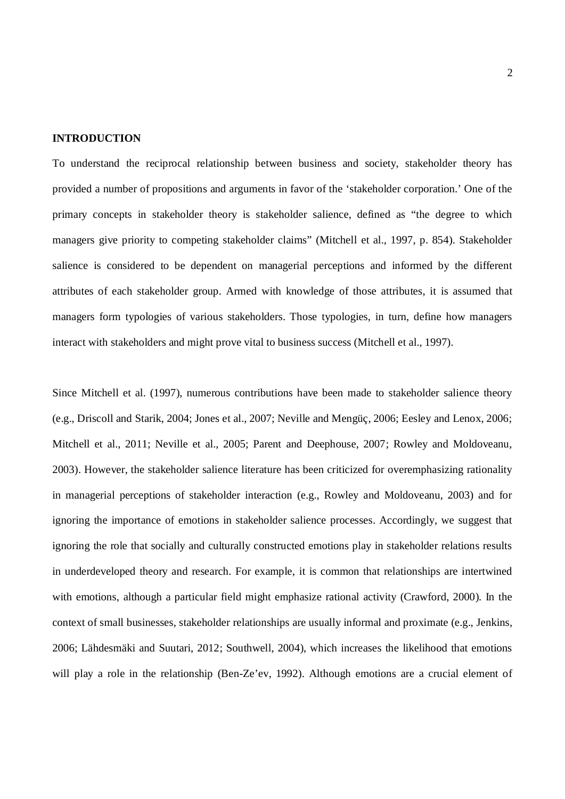#### **INTRODUCTION**

To understand the reciprocal relationship between business and society, stakeholder theory has provided a number of propositions and arguments in favor of the 'stakeholder corporation.' One of the primary concepts in stakeholder theory is stakeholder salience, defined as "the degree to which managers give priority to competing stakeholder claims" (Mitchell et al., 1997, p. 854). Stakeholder salience is considered to be dependent on managerial perceptions and informed by the different attributes of each stakeholder group. Armed with knowledge of those attributes, it is assumed that managers form typologies of various stakeholders. Those typologies, in turn, define how managers interact with stakeholders and might prove vital to business success (Mitchell et al., 1997).

Since Mitchell et al. (1997), numerous contributions have been made to stakeholder salience theory (e.g., Driscoll and Starik, 2004; Jones et al., 2007; Neville and Mengüç, 2006; Eesley and Lenox, 2006; Mitchell et al., 2011; Neville et al., 2005; Parent and Deephouse, 2007; Rowley and Moldoveanu, 2003). However, the stakeholder salience literature has been criticized for overemphasizing rationality in managerial perceptions of stakeholder interaction (e.g., Rowley and Moldoveanu, 2003) and for ignoring the importance of emotions in stakeholder salience processes. Accordingly, we suggest that ignoring the role that socially and culturally constructed emotions play in stakeholder relations results in underdeveloped theory and research. For example, it is common that relationships are intertwined with emotions, although a particular field might emphasize rational activity (Crawford, 2000). In the context of small businesses, stakeholder relationships are usually informal and proximate (e.g., Jenkins, 2006; Lähdesmäki and Suutari, 2012; Southwell, 2004), which increases the likelihood that emotions will play a role in the relationship (Ben-Ze'ev, 1992). Although emotions are a crucial element of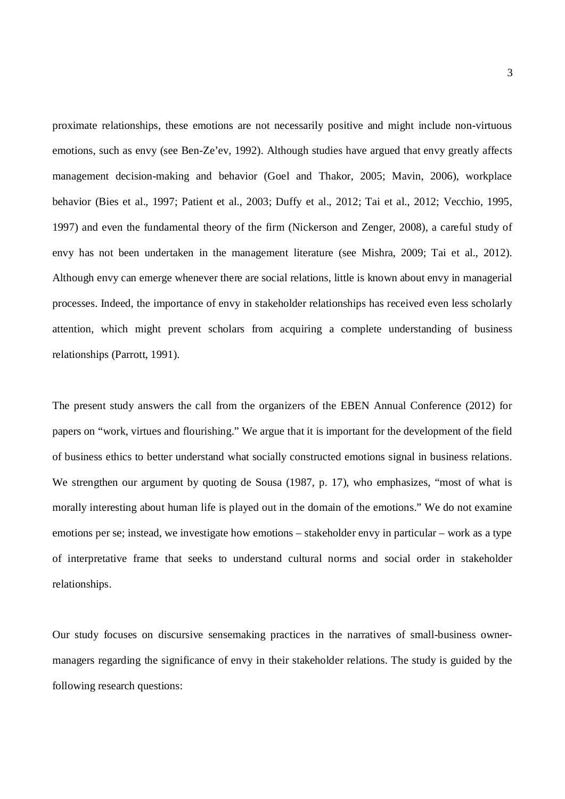proximate relationships, these emotions are not necessarily positive and might include non-virtuous emotions, such as envy (see Ben-Ze'ev, 1992). Although studies have argued that envy greatly affects management decision-making and behavior (Goel and Thakor, 2005; Mavin, 2006), workplace behavior (Bies et al., 1997; Patient et al., 2003; Duffy et al., 2012; Tai et al., 2012; Vecchio, 1995, 1997) and even the fundamental theory of the firm (Nickerson and Zenger, 2008), a careful study of envy has not been undertaken in the management literature (see Mishra, 2009; Tai et al., 2012). Although envy can emerge whenever there are social relations, little is known about envy in managerial processes. Indeed, the importance of envy in stakeholder relationships has received even less scholarly attention, which might prevent scholars from acquiring a complete understanding of business relationships (Parrott, 1991).

The present study answers the call from the organizers of the EBEN Annual Conference (2012) for papers on "work, virtues and flourishing." We argue that it is important for the development of the field of business ethics to better understand what socially constructed emotions signal in business relations. We strengthen our argument by quoting de Sousa (1987, p. 17), who emphasizes, "most of what is morally interesting about human life is played out in the domain of the emotions." We do not examine emotions per se; instead, we investigate how emotions – stakeholder envy in particular – work as a type of interpretative frame that seeks to understand cultural norms and social order in stakeholder relationships.

Our study focuses on discursive sensemaking practices in the narratives of small-business ownermanagers regarding the significance of envy in their stakeholder relations. The study is guided by the following research questions: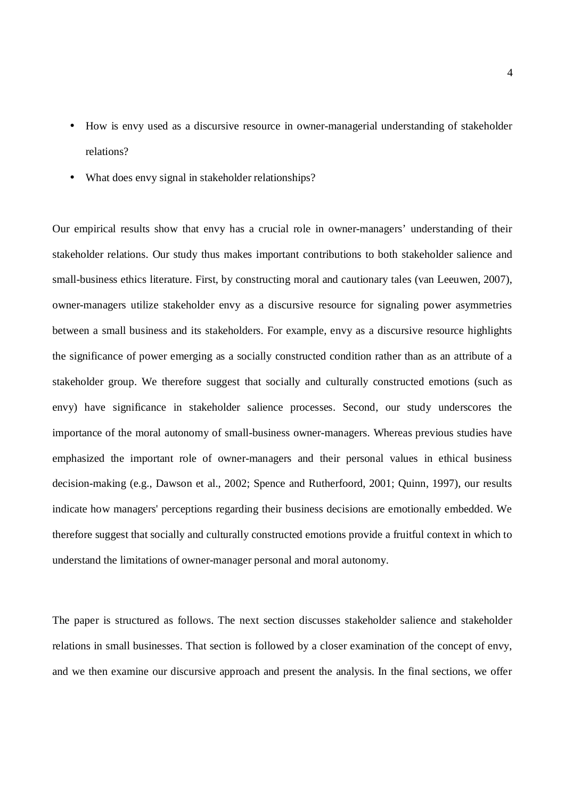- How is envy used as a discursive resource in owner-managerial understanding of stakeholder ä, relations?
- What does envy signal in stakeholder relationships?

Our empirical results show that envy has a crucial role in owner-managers' understanding of their stakeholder relations. Our study thus makes important contributions to both stakeholder salience and small-business ethics literature. First, by constructing moral and cautionary tales (van Leeuwen, 2007), owner-managers utilize stakeholder envy as a discursive resource for signaling power asymmetries between a small business and its stakeholders. For example, envy as a discursive resource highlights the significance of power emerging as a socially constructed condition rather than as an attribute of a stakeholder group. We therefore suggest that socially and culturally constructed emotions (such as envy) have significance in stakeholder salience processes. Second, our study underscores the importance of the moral autonomy of small-business owner-managers. Whereas previous studies have emphasized the important role of owner-managers and their personal values in ethical business decision-making (e.g., Dawson et al., 2002; Spence and Rutherfoord, 2001; Quinn, 1997), our results indicate how managers' perceptions regarding their business decisions are emotionally embedded. We therefore suggest that socially and culturally constructed emotions provide a fruitful context in which to understand the limitations of owner-manager personal and moral autonomy.

The paper is structured as follows. The next section discusses stakeholder salience and stakeholder relations in small businesses. That section is followed by a closer examination of the concept of envy, and we then examine our discursive approach and present the analysis. In the final sections, we offer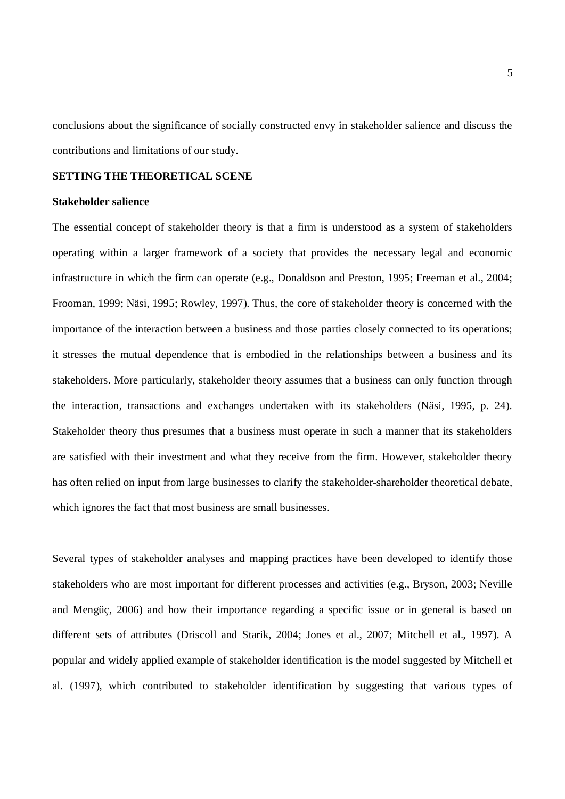conclusions about the significance of socially constructed envy in stakeholder salience and discuss the contributions and limitations of our study.

#### **SETTING THE THEORETICAL SCENE**

#### **Stakeholder salience**

The essential concept of stakeholder theory is that a firm is understood as a system of stakeholders operating within a larger framework of a society that provides the necessary legal and economic infrastructure in which the firm can operate (e.g., Donaldson and Preston, 1995; Freeman et al., 2004; Frooman, 1999; Näsi, 1995; Rowley, 1997). Thus, the core of stakeholder theory is concerned with the importance of the interaction between a business and those parties closely connected to its operations; it stresses the mutual dependence that is embodied in the relationships between a business and its stakeholders. More particularly, stakeholder theory assumes that a business can only function through the interaction, transactions and exchanges undertaken with its stakeholders (Näsi, 1995, p. 24). Stakeholder theory thus presumes that a business must operate in such a manner that its stakeholders are satisfied with their investment and what they receive from the firm. However, stakeholder theory has often relied on input from large businesses to clarify the stakeholder-shareholder theoretical debate, which ignores the fact that most business are small businesses.

Several types of stakeholder analyses and mapping practices have been developed to identify those stakeholders who are most important for different processes and activities (e.g., Bryson, 2003; Neville and Mengüç, 2006) and how their importance regarding a specific issue or in general is based on different sets of attributes (Driscoll and Starik, 2004; Jones et al., 2007; Mitchell et al., 1997). A popular and widely applied example of stakeholder identification is the model suggested by Mitchell et al. (1997), which contributed to stakeholder identification by suggesting that various types of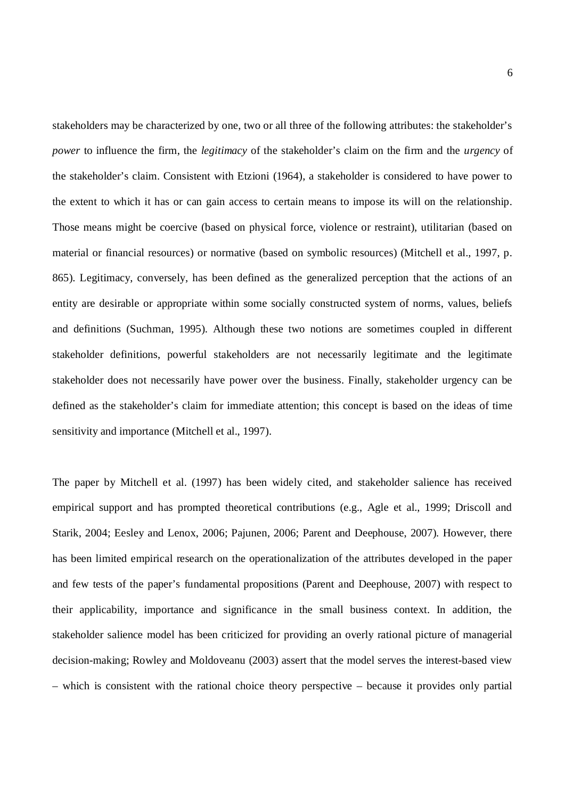stakeholders may be characterized by one, two or all three of the following attributes: the stakeholder's *power* to influence the firm, the *legitimacy* of the stakeholder's claim on the firm and the *urgency* of the stakeholder's claim. Consistent with Etzioni (1964), a stakeholder is considered to have power to the extent to which it has or can gain access to certain means to impose its will on the relationship. Those means might be coercive (based on physical force, violence or restraint), utilitarian (based on material or financial resources) or normative (based on symbolic resources) (Mitchell et al., 1997, p. 865). Legitimacy, conversely, has been defined as the generalized perception that the actions of an entity are desirable or appropriate within some socially constructed system of norms, values, beliefs and definitions (Suchman, 1995). Although these two notions are sometimes coupled in different stakeholder definitions, powerful stakeholders are not necessarily legitimate and the legitimate stakeholder does not necessarily have power over the business. Finally, stakeholder urgency can be defined as the stakeholder's claim for immediate attention; this concept is based on the ideas of time sensitivity and importance (Mitchell et al., 1997).

The paper by Mitchell et al. (1997) has been widely cited, and stakeholder salience has received empirical support and has prompted theoretical contributions (e.g., Agle et al., 1999; Driscoll and Starik, 2004; Eesley and Lenox, 2006; Pajunen, 2006; Parent and Deephouse, 2007). However, there has been limited empirical research on the operationalization of the attributes developed in the paper and few tests of the paper's fundamental propositions (Parent and Deephouse, 2007) with respect to their applicability, importance and significance in the small business context. In addition, the stakeholder salience model has been criticized for providing an overly rational picture of managerial decision-making; Rowley and Moldoveanu (2003) assert that the model serves the interest-based view – which is consistent with the rational choice theory perspective – because it provides only partial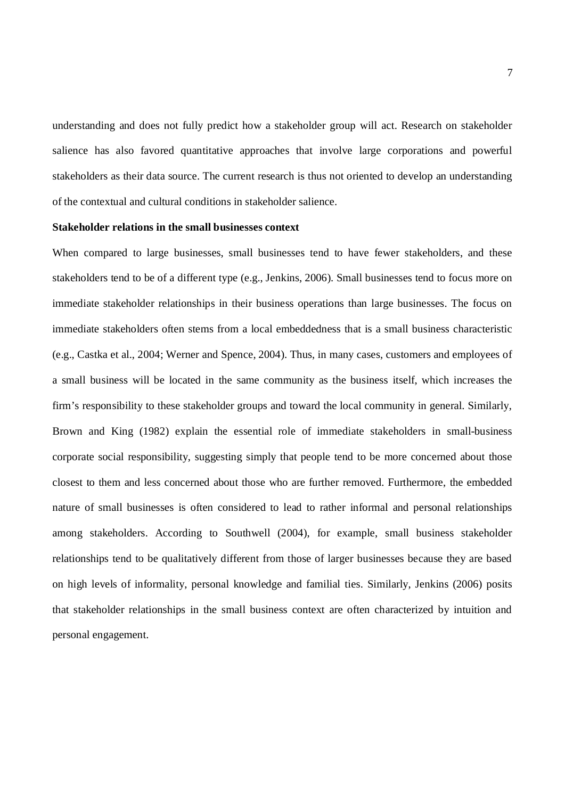understanding and does not fully predict how a stakeholder group will act. Research on stakeholder salience has also favored quantitative approaches that involve large corporations and powerful stakeholders as their data source. The current research is thus not oriented to develop an understanding of the contextual and cultural conditions in stakeholder salience.

## **Stakeholder relations in the small businesses context**

When compared to large businesses, small businesses tend to have fewer stakeholders, and these stakeholders tend to be of a different type (e.g., Jenkins, 2006). Small businesses tend to focus more on immediate stakeholder relationships in their business operations than large businesses. The focus on immediate stakeholders often stems from a local embeddedness that is a small business characteristic (e.g., Castka et al., 2004; Werner and Spence, 2004). Thus, in many cases, customers and employees of a small business will be located in the same community as the business itself, which increases the firm's responsibility to these stakeholder groups and toward the local community in general. Similarly, Brown and King (1982) explain the essential role of immediate stakeholders in small-business corporate social responsibility, suggesting simply that people tend to be more concerned about those closest to them and less concerned about those who are further removed. Furthermore, the embedded nature of small businesses is often considered to lead to rather informal and personal relationships among stakeholders. According to Southwell (2004), for example, small business stakeholder relationships tend to be qualitatively different from those of larger businesses because they are based on high levels of informality, personal knowledge and familial ties. Similarly, Jenkins (2006) posits that stakeholder relationships in the small business context are often characterized by intuition and personal engagement.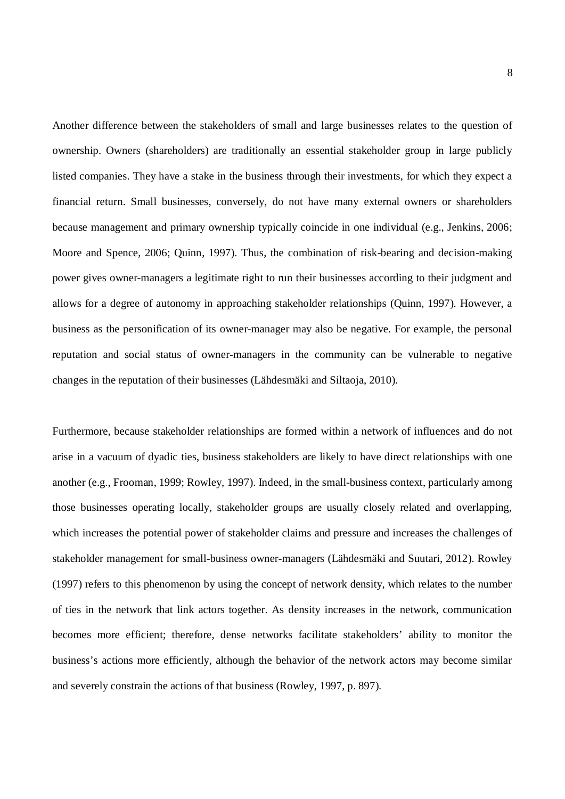Another difference between the stakeholders of small and large businesses relates to the question of ownership. Owners (shareholders) are traditionally an essential stakeholder group in large publicly listed companies. They have a stake in the business through their investments, for which they expect a financial return. Small businesses, conversely, do not have many external owners or shareholders because management and primary ownership typically coincide in one individual (e.g., Jenkins, 2006; Moore and Spence, 2006; Quinn, 1997). Thus, the combination of risk-bearing and decision-making power gives owner-managers a legitimate right to run their businesses according to their judgment and allows for a degree of autonomy in approaching stakeholder relationships (Quinn, 1997). However, a business as the personification of its owner-manager may also be negative. For example, the personal reputation and social status of owner-managers in the community can be vulnerable to negative changes in the reputation of their businesses (Lähdesmäki and Siltaoja, 2010).

Furthermore, because stakeholder relationships are formed within a network of influences and do not arise in a vacuum of dyadic ties, business stakeholders are likely to have direct relationships with one another (e.g., Frooman, 1999; Rowley, 1997). Indeed, in the small-business context, particularly among those businesses operating locally, stakeholder groups are usually closely related and overlapping, which increases the potential power of stakeholder claims and pressure and increases the challenges of stakeholder management for small-business owner-managers (Lähdesmäki and Suutari, 2012). Rowley (1997) refers to this phenomenon by using the concept of network density, which relates to the number of ties in the network that link actors together. As density increases in the network, communication becomes more efficient; therefore, dense networks facilitate stakeholders' ability to monitor the business's actions more efficiently, although the behavior of the network actors may become similar and severely constrain the actions of that business (Rowley, 1997, p. 897).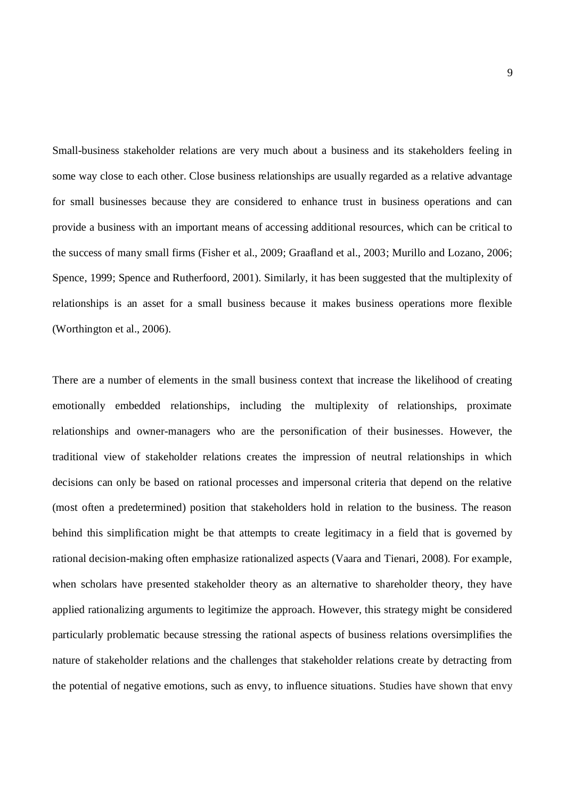Small-business stakeholder relations are very much about a business and its stakeholders feeling in some way close to each other. Close business relationships are usually regarded as a relative advantage for small businesses because they are considered to enhance trust in business operations and can provide a business with an important means of accessing additional resources, which can be critical to the success of many small firms (Fisher et al., 2009; Graafland et al., 2003; Murillo and Lozano, 2006; Spence, 1999; Spence and Rutherfoord, 2001). Similarly, it has been suggested that the multiplexity of relationships is an asset for a small business because it makes business operations more flexible (Worthington et al., 2006).

There are a number of elements in the small business context that increase the likelihood of creating emotionally embedded relationships, including the multiplexity of relationships, proximate relationships and owner-managers who are the personification of their businesses. However, the traditional view of stakeholder relations creates the impression of neutral relationships in which decisions can only be based on rational processes and impersonal criteria that depend on the relative (most often a predetermined) position that stakeholders hold in relation to the business. The reason behind this simplification might be that attempts to create legitimacy in a field that is governed by rational decision-making often emphasize rationalized aspects (Vaara and Tienari, 2008). For example, when scholars have presented stakeholder theory as an alternative to shareholder theory, they have applied rationalizing arguments to legitimize the approach. However, this strategy might be considered particularly problematic because stressing the rational aspects of business relations oversimplifies the nature of stakeholder relations and the challenges that stakeholder relations create by detracting from the potential of negative emotions, such as envy, to influence situations. Studies have shown that envy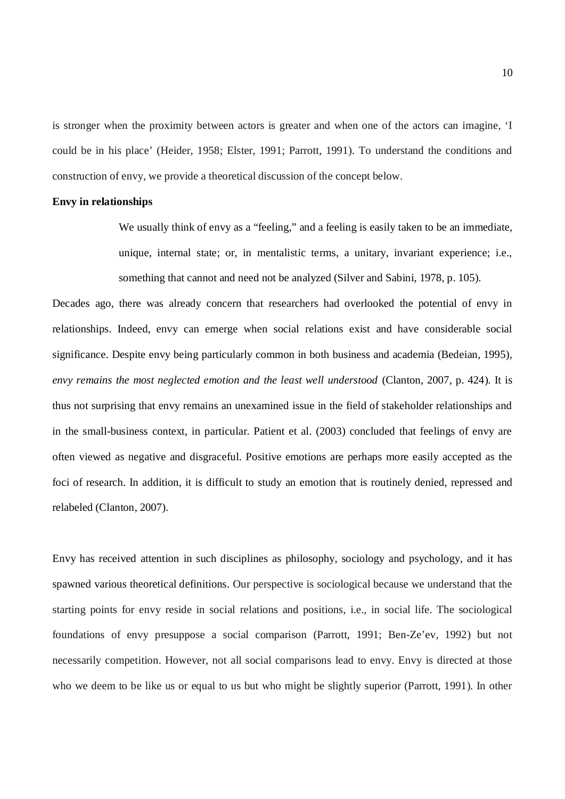is stronger when the proximity between actors is greater and when one of the actors can imagine, 'I could be in his place' (Heider, 1958; Elster, 1991; Parrott, 1991). To understand the conditions and construction of envy, we provide a theoretical discussion of the concept below.

## **Envy in relationships**

We usually think of envy as a "feeling," and a feeling is easily taken to be an immediate, unique, internal state; or, in mentalistic terms, a unitary, invariant experience; i.e., something that cannot and need not be analyzed (Silver and Sabini, 1978, p. 105).

Decades ago, there was already concern that researchers had overlooked the potential of envy in relationships. Indeed, envy can emerge when social relations exist and have considerable social significance. Despite envy being particularly common in both business and academia (Bedeian, 1995), *envy remains the most neglected emotion and the least well understood* (Clanton, 2007, p. 424). It is thus not surprising that envy remains an unexamined issue in the field of stakeholder relationships and in the small-business context, in particular. Patient et al. (2003) concluded that feelings of envy are often viewed as negative and disgraceful. Positive emotions are perhaps more easily accepted as the foci of research. In addition, it is difficult to study an emotion that is routinely denied, repressed and relabeled (Clanton, 2007).

Envy has received attention in such disciplines as philosophy, sociology and psychology, and it has spawned various theoretical definitions. Our perspective is sociological because we understand that the starting points for envy reside in social relations and positions, i.e., in social life. The sociological foundations of envy presuppose a social comparison (Parrott, 1991; Ben-Ze'ev, 1992) but not necessarily competition. However, not all social comparisons lead to envy. Envy is directed at those who we deem to be like us or equal to us but who might be slightly superior (Parrott, 1991). In other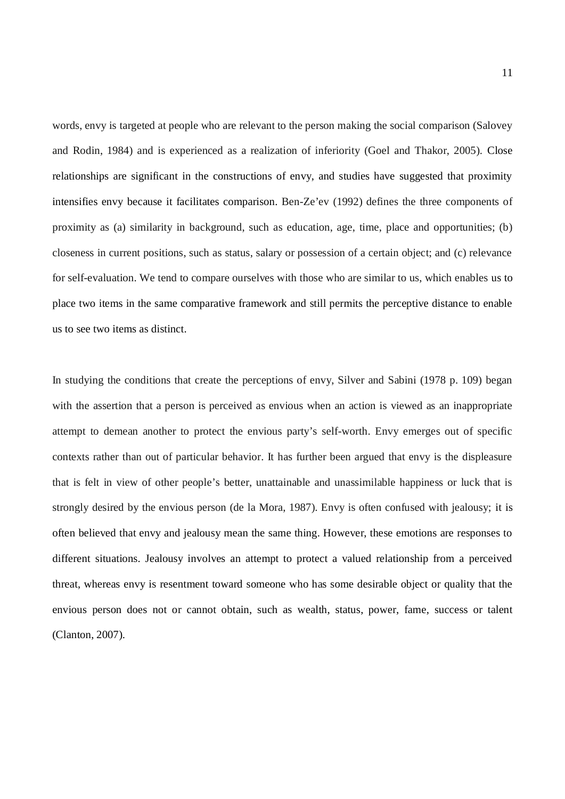words, envy is targeted at people who are relevant to the person making the social comparison (Salovey and Rodin, 1984) and is experienced as a realization of inferiority (Goel and Thakor, 2005). Close relationships are significant in the constructions of envy, and studies have suggested that proximity intensifies envy because it facilitates comparison. Ben-Ze'ev (1992) defines the three components of proximity as (a) similarity in background, such as education, age, time, place and opportunities; (b) closeness in current positions, such as status, salary or possession of a certain object; and (c) relevance for self-evaluation. We tend to compare ourselves with those who are similar to us, which enables us to place two items in the same comparative framework and still permits the perceptive distance to enable us to see two items as distinct.

In studying the conditions that create the perceptions of envy, Silver and Sabini (1978 p. 109) began with the assertion that a person is perceived as envious when an action is viewed as an inappropriate attempt to demean another to protect the envious party's self-worth. Envy emerges out of specific contexts rather than out of particular behavior. It has further been argued that envy is the displeasure that is felt in view of other people's better, unattainable and unassimilable happiness or luck that is strongly desired by the envious person (de la Mora, 1987). Envy is often confused with jealousy; it is often believed that envy and jealousy mean the same thing. However, these emotions are responses to different situations. Jealousy involves an attempt to protect a valued relationship from a perceived threat, whereas envy is resentment toward someone who has some desirable object or quality that the envious person does not or cannot obtain, such as wealth, status, power, fame, success or talent (Clanton, 2007).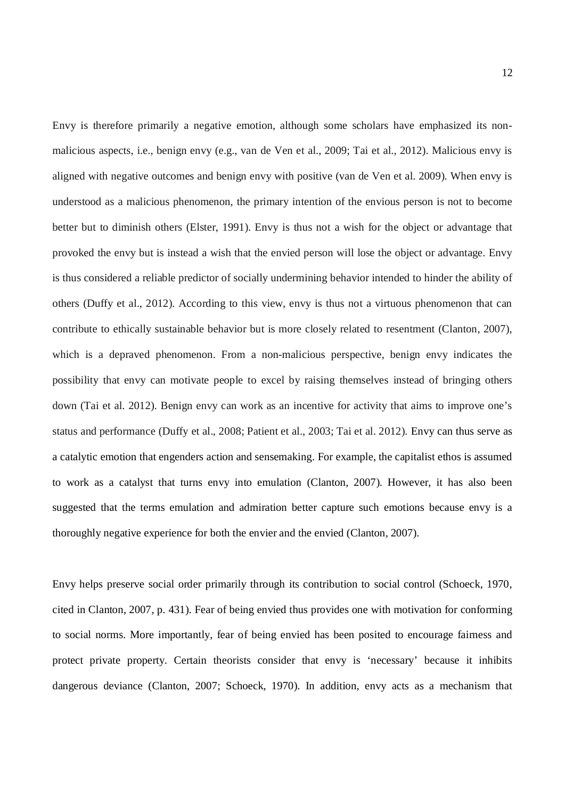Envy is therefore primarily a negative emotion, although some scholars have emphasized its nonmalicious aspects, i.e., benign envy (e.g., van de Ven et al., 2009; Tai et al., 2012). Malicious envy is aligned with negative outcomes and benign envy with positive (van de Ven et al. 2009). When envy is understood as a malicious phenomenon, the primary intention of the envious person is not to become better but to diminish others (Elster, 1991). Envy is thus not a wish for the object or advantage that provoked the envy but is instead a wish that the envied person will lose the object or advantage. Envy is thus considered a reliable predictor of socially undermining behavior intended to hinder the ability of others (Duffy et al., 2012). According to this view, envy is thus not a virtuous phenomenon that can contribute to ethically sustainable behavior but is more closely related to resentment (Clanton, 2007), which is a depraved phenomenon. From a non-malicious perspective, benign envy indicates the possibility that envy can motivate people to excel by raising themselves instead of bringing others down (Tai et al. 2012). Benign envy can work as an incentive for activity that aims to improve one's status and performance (Duffy et al., 2008; Patient et al., 2003; Tai et al. 2012). Envy can thus serve as a catalytic emotion that engenders action and sensemaking. For example, the capitalist ethos is assumed to work as a catalyst that turns envy into emulation (Clanton, 2007). However, it has also been suggested that the terms emulation and admiration better capture such emotions because envy is a thoroughly negative experience for both the envier and the envied (Clanton, 2007).

Envy helps preserve social order primarily through its contribution to social control (Schoeck, 1970, cited in Clanton, 2007, p. 431). Fear of being envied thus provides one with motivation for conforming to social norms. More importantly, fear of being envied has been posited to encourage fairness and protect private property. Certain theorists consider that envy is 'necessary' because it inhibits dangerous deviance (Clanton, 2007; Schoeck, 1970). In addition, envy acts as a mechanism that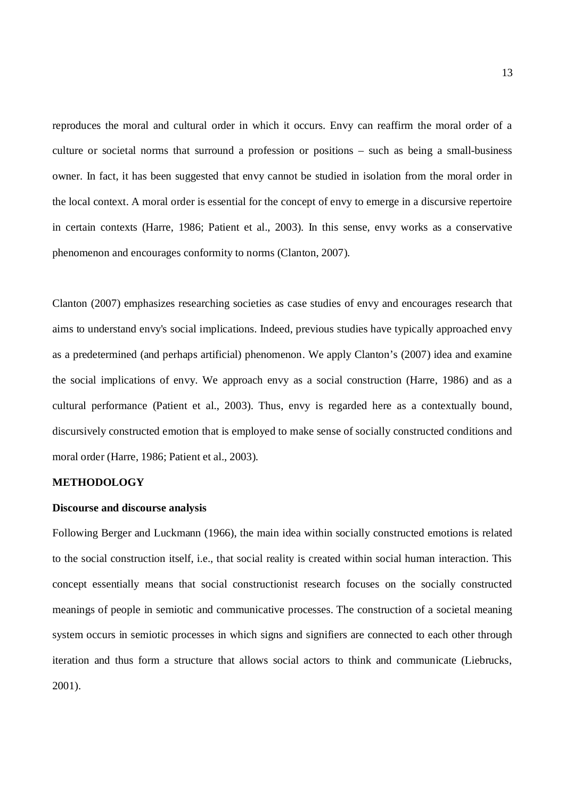reproduces the moral and cultural order in which it occurs. Envy can reaffirm the moral order of a culture or societal norms that surround a profession or positions – such as being a small-business owner. In fact, it has been suggested that envy cannot be studied in isolation from the moral order in the local context. A moral order is essential for the concept of envy to emerge in a discursive repertoire in certain contexts (Harre, 1986; Patient et al., 2003). In this sense, envy works as a conservative phenomenon and encourages conformity to norms (Clanton, 2007).

Clanton (2007) emphasizes researching societies as case studies of envy and encourages research that aims to understand envy's social implications. Indeed, previous studies have typically approached envy as a predetermined (and perhaps artificial) phenomenon. We apply Clanton's (2007) idea and examine the social implications of envy. We approach envy as a social construction (Harre, 1986) and as a cultural performance (Patient et al., 2003). Thus, envy is regarded here as a contextually bound, discursively constructed emotion that is employed to make sense of socially constructed conditions and moral order (Harre, 1986; Patient et al., 2003).

## **METHODOLOGY**

#### **Discourse and discourse analysis**

Following Berger and Luckmann (1966), the main idea within socially constructed emotions is related to the social construction itself, i.e., that social reality is created within social human interaction. This concept essentially means that social constructionist research focuses on the socially constructed meanings of people in semiotic and communicative processes. The construction of a societal meaning system occurs in semiotic processes in which signs and signifiers are connected to each other through iteration and thus form a structure that allows social actors to think and communicate (Liebrucks, 2001).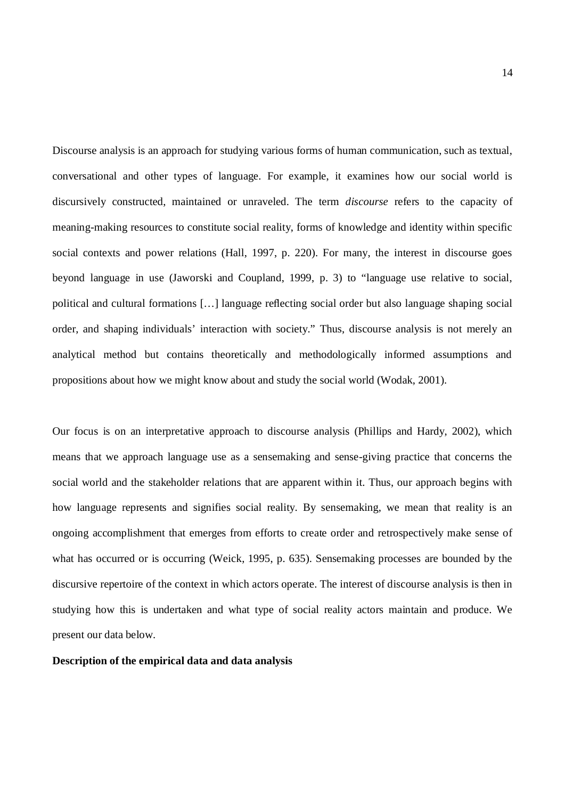Discourse analysis is an approach for studying various forms of human communication, such as textual, conversational and other types of language. For example, it examines how our social world is discursively constructed, maintained or unraveled. The term *discourse* refers to the capacity of meaning-making resources to constitute social reality, forms of knowledge and identity within specific social contexts and power relations (Hall, 1997, p. 220). For many, the interest in discourse goes beyond language in use (Jaworski and Coupland, 1999, p. 3) to "language use relative to social, political and cultural formations […] language reflecting social order but also language shaping social order, and shaping individuals' interaction with society." Thus, discourse analysis is not merely an analytical method but contains theoretically and methodologically informed assumptions and propositions about how we might know about and study the social world (Wodak, 2001).

Our focus is on an interpretative approach to discourse analysis (Phillips and Hardy, 2002), which means that we approach language use as a sensemaking and sense-giving practice that concerns the social world and the stakeholder relations that are apparent within it. Thus, our approach begins with how language represents and signifies social reality. By sensemaking, we mean that reality is an ongoing accomplishment that emerges from efforts to create order and retrospectively make sense of what has occurred or is occurring (Weick, 1995, p. 635). Sensemaking processes are bounded by the discursive repertoire of the context in which actors operate. The interest of discourse analysis is then in studying how this is undertaken and what type of social reality actors maintain and produce. We present our data below.

## **Description of the empirical data and data analysis**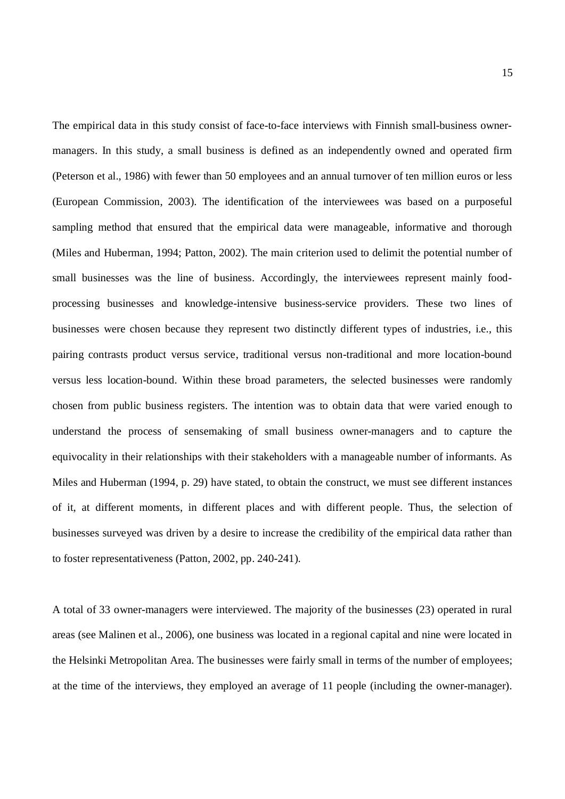The empirical data in this study consist of face-to-face interviews with Finnish small-business ownermanagers. In this study, a small business is defined as an independently owned and operated firm (Peterson et al., 1986) with fewer than 50 employees and an annual turnover of ten million euros or less (European Commission, 2003). The identification of the interviewees was based on a purposeful sampling method that ensured that the empirical data were manageable, informative and thorough (Miles and Huberman, 1994; Patton, 2002). The main criterion used to delimit the potential number of small businesses was the line of business. Accordingly, the interviewees represent mainly foodprocessing businesses and knowledge-intensive business-service providers. These two lines of businesses were chosen because they represent two distinctly different types of industries, i.e., this pairing contrasts product versus service, traditional versus non-traditional and more location-bound versus less location-bound. Within these broad parameters, the selected businesses were randomly chosen from public business registers. The intention was to obtain data that were varied enough to understand the process of sensemaking of small business owner-managers and to capture the equivocality in their relationships with their stakeholders with a manageable number of informants. As Miles and Huberman (1994, p. 29) have stated, to obtain the construct, we must see different instances of it, at different moments, in different places and with different people. Thus, the selection of businesses surveyed was driven by a desire to increase the credibility of the empirical data rather than to foster representativeness (Patton, 2002, pp. 240-241).

A total of 33 owner-managers were interviewed. The majority of the businesses (23) operated in rural areas (see Malinen et al., 2006), one business was located in a regional capital and nine were located in the Helsinki Metropolitan Area. The businesses were fairly small in terms of the number of employees; at the time of the interviews, they employed an average of 11 people (including the owner-manager).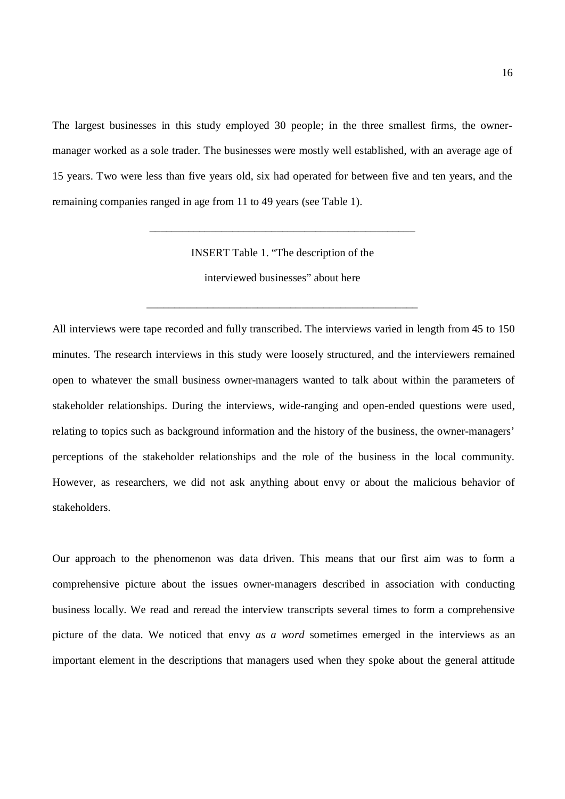The largest businesses in this study employed 30 people; in the three smallest firms, the ownermanager worked as a sole trader. The businesses were mostly well established, with an average age of 15 years. Two were less than five years old, six had operated for between five and ten years, and the remaining companies ranged in age from 11 to 49 years (see Table 1).

INSERT Table 1. "The description of the

\_\_\_\_\_\_\_\_\_\_\_\_\_\_\_\_\_\_\_\_\_\_\_\_\_\_\_\_\_\_\_\_\_\_\_\_\_\_\_\_\_\_\_\_\_\_\_\_

interviewed businesses" about here

\_\_\_\_\_\_\_\_\_\_\_\_\_\_\_\_\_\_\_\_\_\_\_\_\_\_\_\_\_\_\_\_\_\_\_\_\_\_\_\_\_\_\_\_\_\_\_\_\_

All interviews were tape recorded and fully transcribed. The interviews varied in length from 45 to 150 minutes. The research interviews in this study were loosely structured, and the interviewers remained open to whatever the small business owner-managers wanted to talk about within the parameters of stakeholder relationships. During the interviews, wide-ranging and open-ended questions were used, relating to topics such as background information and the history of the business, the owner-managers' perceptions of the stakeholder relationships and the role of the business in the local community. However, as researchers, we did not ask anything about envy or about the malicious behavior of stakeholders.

Our approach to the phenomenon was data driven. This means that our first aim was to form a comprehensive picture about the issues owner-managers described in association with conducting business locally. We read and reread the interview transcripts several times to form a comprehensive picture of the data. We noticed that envy *as a word* sometimes emerged in the interviews as an important element in the descriptions that managers used when they spoke about the general attitude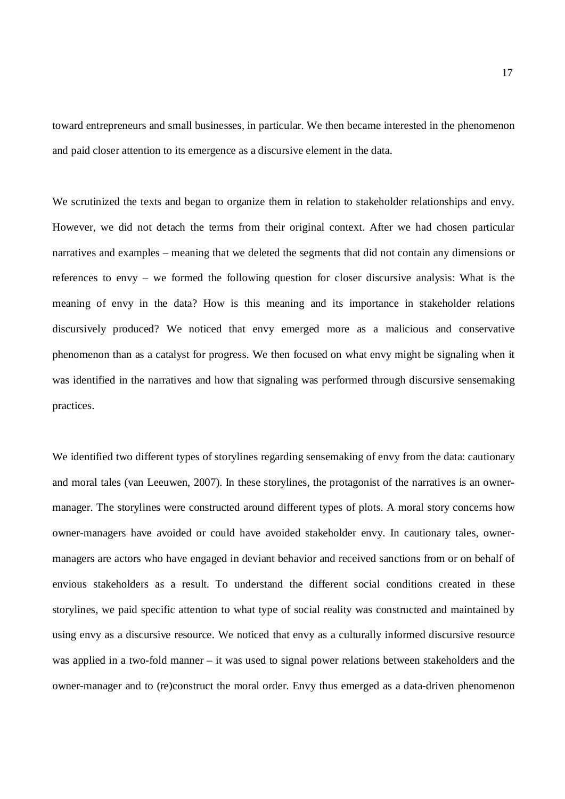toward entrepreneurs and small businesses, in particular. We then became interested in the phenomenon and paid closer attention to its emergence as a discursive element in the data.

We scrutinized the texts and began to organize them in relation to stakeholder relationships and envy. However, we did not detach the terms from their original context. After we had chosen particular narratives and examples – meaning that we deleted the segments that did not contain any dimensions or references to envy – we formed the following question for closer discursive analysis: What is the meaning of envy in the data? How is this meaning and its importance in stakeholder relations discursively produced? We noticed that envy emerged more as a malicious and conservative phenomenon than as a catalyst for progress. We then focused on what envy might be signaling when it was identified in the narratives and how that signaling was performed through discursive sensemaking practices.

We identified two different types of storylines regarding sensemaking of envy from the data: cautionary and moral tales (van Leeuwen, 2007). In these storylines, the protagonist of the narratives is an ownermanager. The storylines were constructed around different types of plots. A moral story concerns how owner-managers have avoided or could have avoided stakeholder envy. In cautionary tales, ownermanagers are actors who have engaged in deviant behavior and received sanctions from or on behalf of envious stakeholders as a result. To understand the different social conditions created in these storylines, we paid specific attention to what type of social reality was constructed and maintained by using envy as a discursive resource. We noticed that envy as a culturally informed discursive resource was applied in a two-fold manner – it was used to signal power relations between stakeholders and the owner-manager and to (re)construct the moral order. Envy thus emerged as a data-driven phenomenon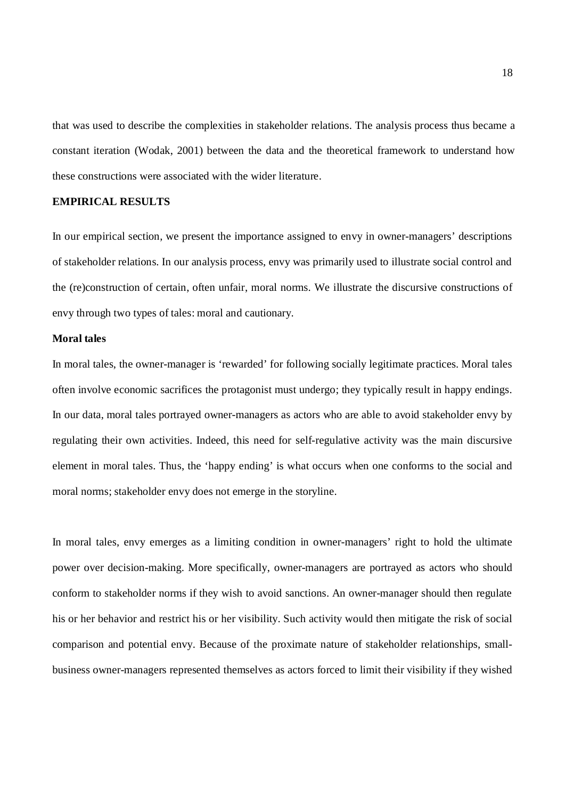that was used to describe the complexities in stakeholder relations. The analysis process thus became a constant iteration (Wodak, 2001) between the data and the theoretical framework to understand how these constructions were associated with the wider literature.

## **EMPIRICAL RESULTS**

In our empirical section, we present the importance assigned to envy in owner-managers' descriptions of stakeholder relations. In our analysis process, envy was primarily used to illustrate social control and the (re)construction of certain, often unfair, moral norms. We illustrate the discursive constructions of envy through two types of tales: moral and cautionary.

#### **Moral tales**

In moral tales, the owner-manager is 'rewarded' for following socially legitimate practices. Moral tales often involve economic sacrifices the protagonist must undergo; they typically result in happy endings. In our data, moral tales portrayed owner-managers as actors who are able to avoid stakeholder envy by regulating their own activities. Indeed, this need for self-regulative activity was the main discursive element in moral tales. Thus, the 'happy ending' is what occurs when one conforms to the social and moral norms; stakeholder envy does not emerge in the storyline.

In moral tales, envy emerges as a limiting condition in owner-managers' right to hold the ultimate power over decision-making. More specifically, owner-managers are portrayed as actors who should conform to stakeholder norms if they wish to avoid sanctions. An owner-manager should then regulate his or her behavior and restrict his or her visibility. Such activity would then mitigate the risk of social comparison and potential envy. Because of the proximate nature of stakeholder relationships, smallbusiness owner-managers represented themselves as actors forced to limit their visibility if they wished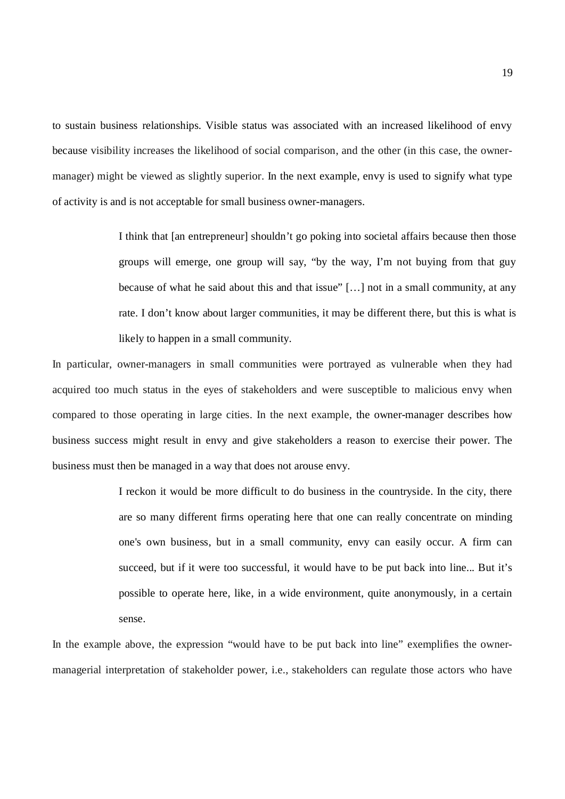to sustain business relationships. Visible status was associated with an increased likelihood of envy because visibility increases the likelihood of social comparison, and the other (in this case, the ownermanager) might be viewed as slightly superior. In the next example, envy is used to signify what type of activity is and is not acceptable for small business owner-managers.

> I think that [an entrepreneur] shouldn't go poking into societal affairs because then those groups will emerge, one group will say, "by the way, I'm not buying from that guy because of what he said about this and that issue" […] not in a small community, at any rate. I don't know about larger communities, it may be different there, but this is what is likely to happen in a small community.

In particular, owner-managers in small communities were portrayed as vulnerable when they had acquired too much status in the eyes of stakeholders and were susceptible to malicious envy when compared to those operating in large cities. In the next example, the owner-manager describes how business success might result in envy and give stakeholders a reason to exercise their power. The business must then be managed in a way that does not arouse envy.

> I reckon it would be more difficult to do business in the countryside. In the city, there are so many different firms operating here that one can really concentrate on minding one's own business, but in a small community, envy can easily occur. A firm can succeed, but if it were too successful, it would have to be put back into line... But it's possible to operate here, like, in a wide environment, quite anonymously, in a certain sense.

In the example above, the expression "would have to be put back into line" exemplifies the ownermanagerial interpretation of stakeholder power, i.e., stakeholders can regulate those actors who have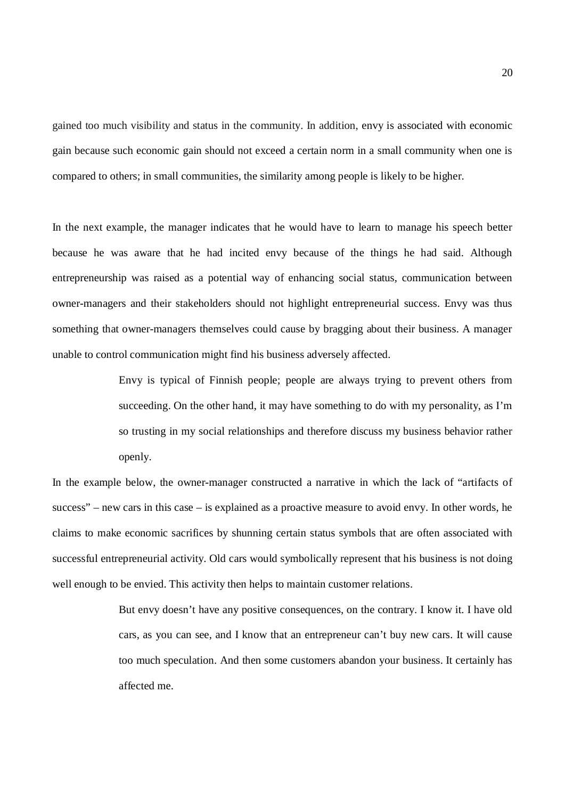gained too much visibility and status in the community. In addition, envy is associated with economic gain because such economic gain should not exceed a certain norm in a small community when one is compared to others; in small communities, the similarity among people is likely to be higher.

In the next example, the manager indicates that he would have to learn to manage his speech better because he was aware that he had incited envy because of the things he had said. Although entrepreneurship was raised as a potential way of enhancing social status, communication between owner-managers and their stakeholders should not highlight entrepreneurial success. Envy was thus something that owner-managers themselves could cause by bragging about their business. A manager unable to control communication might find his business adversely affected.

> Envy is typical of Finnish people; people are always trying to prevent others from succeeding. On the other hand, it may have something to do with my personality, as I'm so trusting in my social relationships and therefore discuss my business behavior rather openly.

In the example below, the owner-manager constructed a narrative in which the lack of "artifacts of success" – new cars in this case – is explained as a proactive measure to avoid envy. In other words, he claims to make economic sacrifices by shunning certain status symbols that are often associated with successful entrepreneurial activity. Old cars would symbolically represent that his business is not doing well enough to be envied. This activity then helps to maintain customer relations.

> But envy doesn't have any positive consequences, on the contrary. I know it. I have old cars, as you can see, and I know that an entrepreneur can't buy new cars. It will cause too much speculation. And then some customers abandon your business. It certainly has affected me.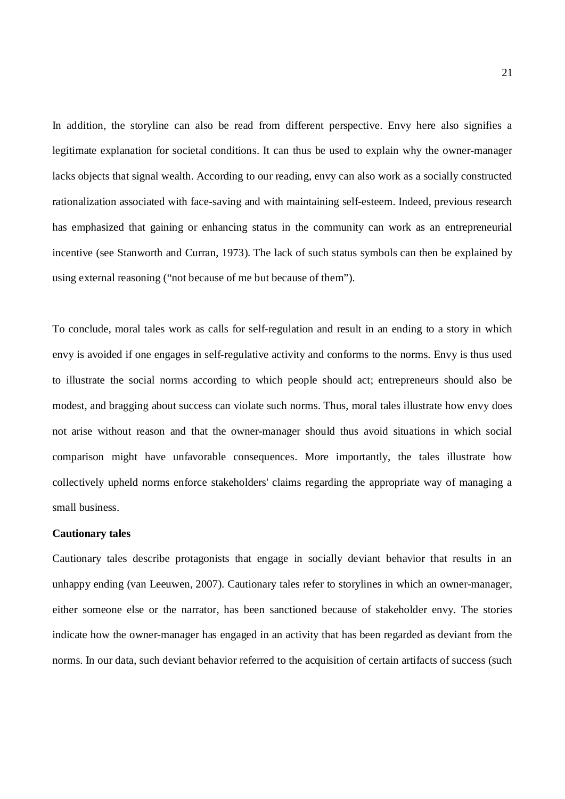In addition, the storyline can also be read from different perspective. Envy here also signifies a legitimate explanation for societal conditions. It can thus be used to explain why the owner-manager lacks objects that signal wealth. According to our reading, envy can also work as a socially constructed rationalization associated with face-saving and with maintaining self-esteem. Indeed, previous research has emphasized that gaining or enhancing status in the community can work as an entrepreneurial incentive (see Stanworth and Curran, 1973). The lack of such status symbols can then be explained by using external reasoning ("not because of me but because of them").

To conclude, moral tales work as calls for self-regulation and result in an ending to a story in which envy is avoided if one engages in self-regulative activity and conforms to the norms. Envy is thus used to illustrate the social norms according to which people should act; entrepreneurs should also be modest, and bragging about success can violate such norms. Thus, moral tales illustrate how envy does not arise without reason and that the owner-manager should thus avoid situations in which social comparison might have unfavorable consequences. More importantly, the tales illustrate how collectively upheld norms enforce stakeholders' claims regarding the appropriate way of managing a small business.

#### **Cautionary tales**

Cautionary tales describe protagonists that engage in socially deviant behavior that results in an unhappy ending (van Leeuwen, 2007). Cautionary tales refer to storylines in which an owner-manager, either someone else or the narrator, has been sanctioned because of stakeholder envy. The stories indicate how the owner-manager has engaged in an activity that has been regarded as deviant from the norms. In our data, such deviant behavior referred to the acquisition of certain artifacts of success (such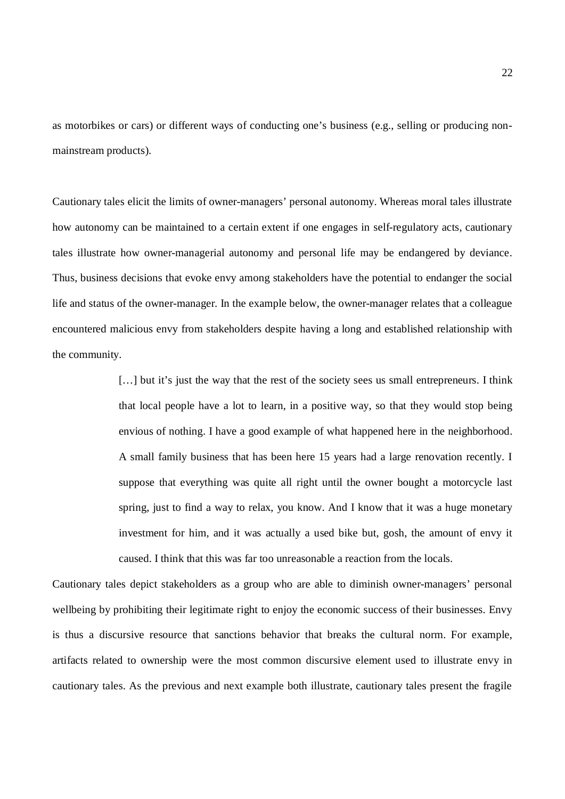as motorbikes or cars) or different ways of conducting one's business (e.g., selling or producing nonmainstream products).

Cautionary tales elicit the limits of owner-managers' personal autonomy. Whereas moral tales illustrate how autonomy can be maintained to a certain extent if one engages in self-regulatory acts, cautionary tales illustrate how owner-managerial autonomy and personal life may be endangered by deviance. Thus, business decisions that evoke envy among stakeholders have the potential to endanger the social life and status of the owner-manager. In the example below, the owner-manager relates that a colleague encountered malicious envy from stakeholders despite having a long and established relationship with the community.

> [...] but it's just the way that the rest of the society sees us small entrepreneurs. I think that local people have a lot to learn, in a positive way, so that they would stop being envious of nothing. I have a good example of what happened here in the neighborhood. A small family business that has been here 15 years had a large renovation recently. I suppose that everything was quite all right until the owner bought a motorcycle last spring, just to find a way to relax, you know. And I know that it was a huge monetary investment for him, and it was actually a used bike but, gosh, the amount of envy it caused. I think that this was far too unreasonable a reaction from the locals.

Cautionary tales depict stakeholders as a group who are able to diminish owner-managers' personal wellbeing by prohibiting their legitimate right to enjoy the economic success of their businesses. Envy is thus a discursive resource that sanctions behavior that breaks the cultural norm. For example, artifacts related to ownership were the most common discursive element used to illustrate envy in cautionary tales. As the previous and next example both illustrate, cautionary tales present the fragile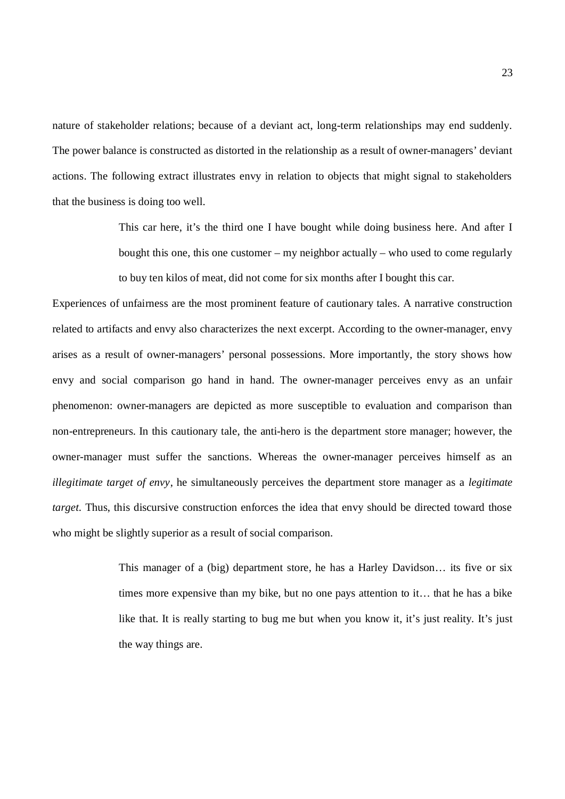nature of stakeholder relations; because of a deviant act, long-term relationships may end suddenly. The power balance is constructed as distorted in the relationship as a result of owner-managers' deviant actions. The following extract illustrates envy in relation to objects that might signal to stakeholders that the business is doing too well.

> This car here, it's the third one I have bought while doing business here. And after I bought this one, this one customer – my neighbor actually – who used to come regularly to buy ten kilos of meat, did not come for six months after I bought this car.

Experiences of unfairness are the most prominent feature of cautionary tales. A narrative construction related to artifacts and envy also characterizes the next excerpt. According to the owner-manager, envy arises as a result of owner-managers' personal possessions. More importantly, the story shows how envy and social comparison go hand in hand. The owner-manager perceives envy as an unfair phenomenon: owner-managers are depicted as more susceptible to evaluation and comparison than non-entrepreneurs. In this cautionary tale, the anti-hero is the department store manager; however, the owner-manager must suffer the sanctions. Whereas the owner-manager perceives himself as an *illegitimate target of envy*, he simultaneously perceives the department store manager as a *legitimate target.* Thus, this discursive construction enforces the idea that envy should be directed toward those who might be slightly superior as a result of social comparison.

> This manager of a (big) department store, he has a Harley Davidson… its five or six times more expensive than my bike, but no one pays attention to it… that he has a bike like that. It is really starting to bug me but when you know it, it's just reality. It's just the way things are.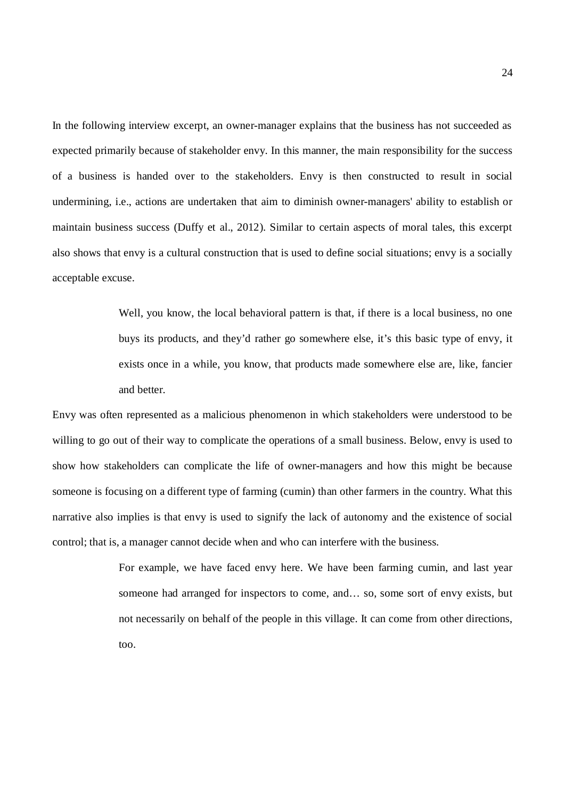In the following interview excerpt, an owner-manager explains that the business has not succeeded as expected primarily because of stakeholder envy. In this manner, the main responsibility for the success of a business is handed over to the stakeholders. Envy is then constructed to result in social undermining, i.e., actions are undertaken that aim to diminish owner-managers' ability to establish or maintain business success (Duffy et al., 2012). Similar to certain aspects of moral tales, this excerpt also shows that envy is a cultural construction that is used to define social situations; envy is a socially acceptable excuse.

> Well, you know, the local behavioral pattern is that, if there is a local business, no one buys its products, and they'd rather go somewhere else, it's this basic type of envy, it exists once in a while, you know, that products made somewhere else are, like, fancier and better.

Envy was often represented as a malicious phenomenon in which stakeholders were understood to be willing to go out of their way to complicate the operations of a small business. Below, envy is used to show how stakeholders can complicate the life of owner-managers and how this might be because someone is focusing on a different type of farming (cumin) than other farmers in the country. What this narrative also implies is that envy is used to signify the lack of autonomy and the existence of social control; that is, a manager cannot decide when and who can interfere with the business.

> For example, we have faced envy here. We have been farming cumin, and last year someone had arranged for inspectors to come, and… so, some sort of envy exists, but not necessarily on behalf of the people in this village. It can come from other directions, too.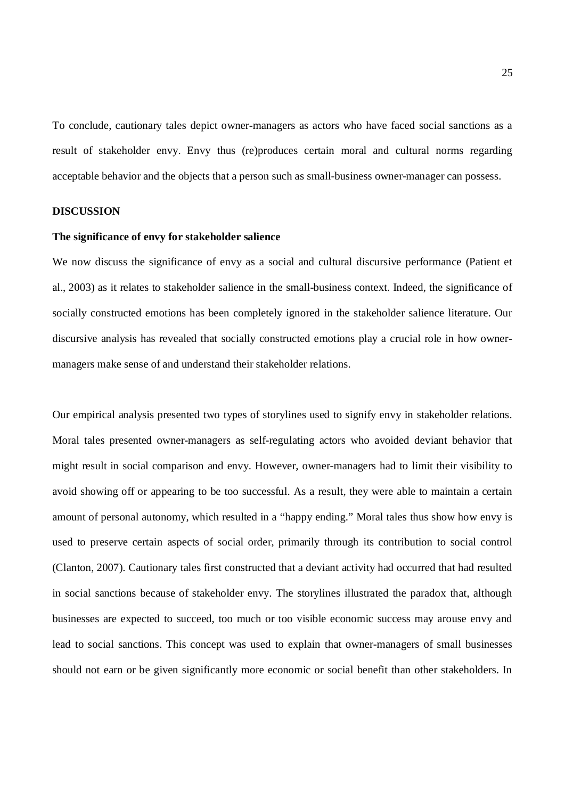To conclude, cautionary tales depict owner-managers as actors who have faced social sanctions as a result of stakeholder envy. Envy thus (re)produces certain moral and cultural norms regarding acceptable behavior and the objects that a person such as small-business owner-manager can possess.

#### **DISCUSSION**

#### **The significance of envy for stakeholder salience**

We now discuss the significance of envy as a social and cultural discursive performance (Patient et al., 2003) as it relates to stakeholder salience in the small-business context. Indeed, the significance of socially constructed emotions has been completely ignored in the stakeholder salience literature. Our discursive analysis has revealed that socially constructed emotions play a crucial role in how ownermanagers make sense of and understand their stakeholder relations.

Our empirical analysis presented two types of storylines used to signify envy in stakeholder relations. Moral tales presented owner-managers as self-regulating actors who avoided deviant behavior that might result in social comparison and envy. However, owner-managers had to limit their visibility to avoid showing off or appearing to be too successful. As a result, they were able to maintain a certain amount of personal autonomy, which resulted in a "happy ending." Moral tales thus show how envy is used to preserve certain aspects of social order, primarily through its contribution to social control (Clanton, 2007). Cautionary tales first constructed that a deviant activity had occurred that had resulted in social sanctions because of stakeholder envy. The storylines illustrated the paradox that, although businesses are expected to succeed, too much or too visible economic success may arouse envy and lead to social sanctions. This concept was used to explain that owner-managers of small businesses should not earn or be given significantly more economic or social benefit than other stakeholders. In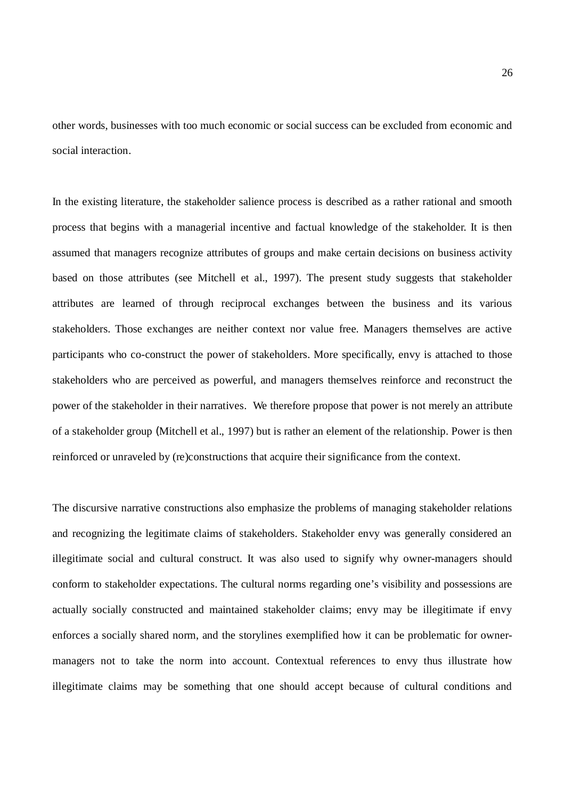other words, businesses with too much economic or social success can be excluded from economic and social interaction.

In the existing literature, the stakeholder salience process is described as a rather rational and smooth process that begins with a managerial incentive and factual knowledge of the stakeholder. It is then assumed that managers recognize attributes of groups and make certain decisions on business activity based on those attributes (see Mitchell et al., 1997). The present study suggests that stakeholder attributes are learned of through reciprocal exchanges between the business and its various stakeholders. Those exchanges are neither context nor value free. Managers themselves are active participants who co-construct the power of stakeholders. More specifically, envy is attached to those stakeholders who are perceived as powerful, and managers themselves reinforce and reconstruct the power of the stakeholder in their narratives. We therefore propose that power is not merely an attribute of a stakeholder group (Mitchell et al., 1997) but is rather an element of the relationship. Power is then reinforced or unraveled by (re)constructions that acquire their significance from the context.

The discursive narrative constructions also emphasize the problems of managing stakeholder relations and recognizing the legitimate claims of stakeholders. Stakeholder envy was generally considered an illegitimate social and cultural construct. It was also used to signify why owner-managers should conform to stakeholder expectations. The cultural norms regarding one's visibility and possessions are actually socially constructed and maintained stakeholder claims; envy may be illegitimate if envy enforces a socially shared norm, and the storylines exemplified how it can be problematic for ownermanagers not to take the norm into account. Contextual references to envy thus illustrate how illegitimate claims may be something that one should accept because of cultural conditions and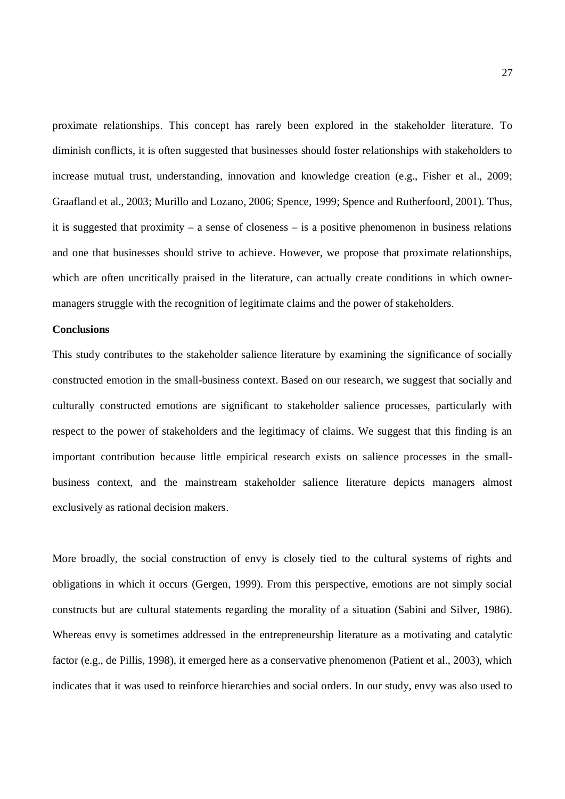proximate relationships. This concept has rarely been explored in the stakeholder literature. To diminish conflicts, it is often suggested that businesses should foster relationships with stakeholders to increase mutual trust, understanding, innovation and knowledge creation (e.g., Fisher et al., 2009; Graafland et al., 2003; Murillo and Lozano, 2006; Spence, 1999; Spence and Rutherfoord, 2001). Thus, it is suggested that proximity – a sense of closeness – is a positive phenomenon in business relations and one that businesses should strive to achieve. However, we propose that proximate relationships, which are often uncritically praised in the literature, can actually create conditions in which ownermanagers struggle with the recognition of legitimate claims and the power of stakeholders.

## **Conclusions**

This study contributes to the stakeholder salience literature by examining the significance of socially constructed emotion in the small-business context. Based on our research, we suggest that socially and culturally constructed emotions are significant to stakeholder salience processes, particularly with respect to the power of stakeholders and the legitimacy of claims. We suggest that this finding is an important contribution because little empirical research exists on salience processes in the smallbusiness context, and the mainstream stakeholder salience literature depicts managers almost exclusively as rational decision makers.

More broadly, the social construction of envy is closely tied to the cultural systems of rights and obligations in which it occurs (Gergen, 1999). From this perspective, emotions are not simply social constructs but are cultural statements regarding the morality of a situation (Sabini and Silver, 1986). Whereas envy is sometimes addressed in the entrepreneurship literature as a motivating and catalytic factor (e.g., de Pillis, 1998), it emerged here as a conservative phenomenon (Patient et al., 2003), which indicates that it was used to reinforce hierarchies and social orders. In our study, envy was also used to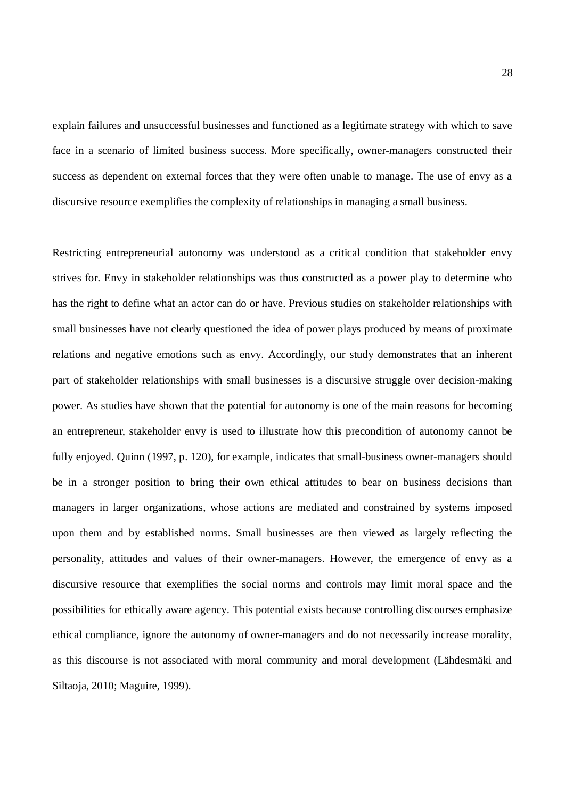explain failures and unsuccessful businesses and functioned as a legitimate strategy with which to save face in a scenario of limited business success. More specifically, owner-managers constructed their success as dependent on external forces that they were often unable to manage. The use of envy as a discursive resource exemplifies the complexity of relationships in managing a small business.

Restricting entrepreneurial autonomy was understood as a critical condition that stakeholder envy strives for. Envy in stakeholder relationships was thus constructed as a power play to determine who has the right to define what an actor can do or have. Previous studies on stakeholder relationships with small businesses have not clearly questioned the idea of power plays produced by means of proximate relations and negative emotions such as envy. Accordingly, our study demonstrates that an inherent part of stakeholder relationships with small businesses is a discursive struggle over decision-making power. As studies have shown that the potential for autonomy is one of the main reasons for becoming an entrepreneur, stakeholder envy is used to illustrate how this precondition of autonomy cannot be fully enjoyed. Quinn (1997, p. 120), for example, indicates that small-business owner-managers should be in a stronger position to bring their own ethical attitudes to bear on business decisions than managers in larger organizations, whose actions are mediated and constrained by systems imposed upon them and by established norms. Small businesses are then viewed as largely reflecting the personality, attitudes and values of their owner-managers. However, the emergence of envy as a discursive resource that exemplifies the social norms and controls may limit moral space and the possibilities for ethically aware agency. This potential exists because controlling discourses emphasize ethical compliance, ignore the autonomy of owner-managers and do not necessarily increase morality, as this discourse is not associated with moral community and moral development (Lähdesmäki and Siltaoja, 2010; Maguire, 1999).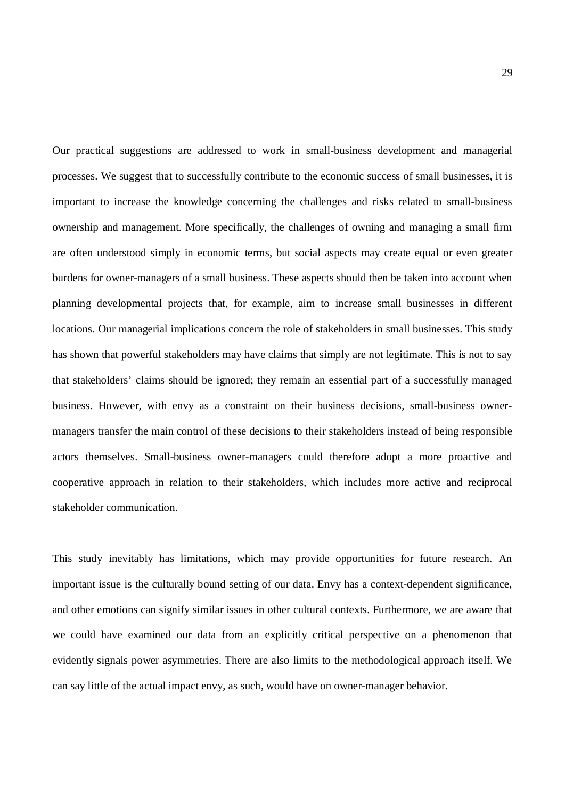Our practical suggestions are addressed to work in small-business development and managerial processes. We suggest that to successfully contribute to the economic success of small businesses, it is important to increase the knowledge concerning the challenges and risks related to small-business ownership and management. More specifically, the challenges of owning and managing a small firm are often understood simply in economic terms, but social aspects may create equal or even greater burdens for owner-managers of a small business. These aspects should then be taken into account when planning developmental projects that, for example, aim to increase small businesses in different locations. Our managerial implications concern the role of stakeholders in small businesses. This study has shown that powerful stakeholders may have claims that simply are not legitimate. This is not to say that stakeholders' claims should be ignored; they remain an essential part of a successfully managed business. However, with envy as a constraint on their business decisions, small-business ownermanagers transfer the main control of these decisions to their stakeholders instead of being responsible actors themselves. Small-business owner-managers could therefore adopt a more proactive and cooperative approach in relation to their stakeholders, which includes more active and reciprocal stakeholder communication.

This study inevitably has limitations, which may provide opportunities for future research. An important issue is the culturally bound setting of our data. Envy has a context-dependent significance, and other emotions can signify similar issues in other cultural contexts. Furthermore, we are aware that we could have examined our data from an explicitly critical perspective on a phenomenon that evidently signals power asymmetries. There are also limits to the methodological approach itself. We can say little of the actual impact envy, as such, would have on owner-manager behavior.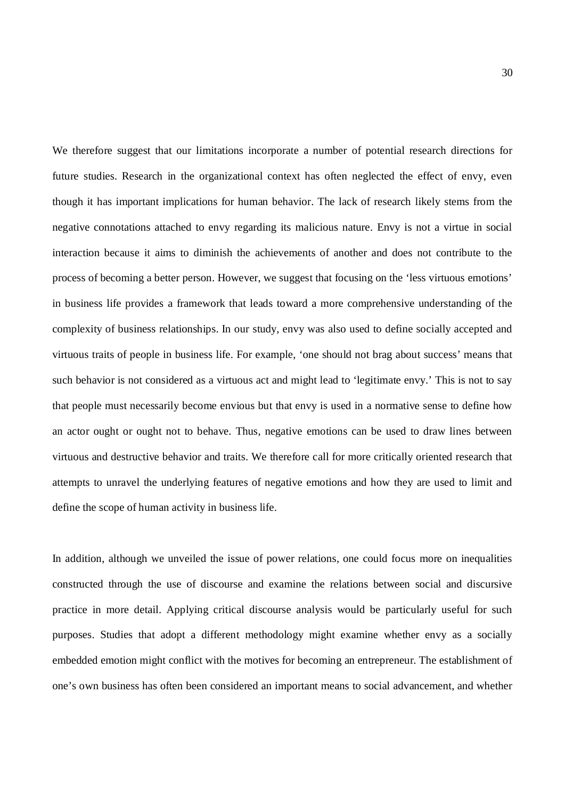We therefore suggest that our limitations incorporate a number of potential research directions for future studies. Research in the organizational context has often neglected the effect of envy, even though it has important implications for human behavior. The lack of research likely stems from the negative connotations attached to envy regarding its malicious nature. Envy is not a virtue in social interaction because it aims to diminish the achievements of another and does not contribute to the process of becoming a better person. However, we suggest that focusing on the 'less virtuous emotions' in business life provides a framework that leads toward a more comprehensive understanding of the complexity of business relationships. In our study, envy was also used to define socially accepted and virtuous traits of people in business life. For example, 'one should not brag about success' means that such behavior is not considered as a virtuous act and might lead to 'legitimate envy.' This is not to say that people must necessarily become envious but that envy is used in a normative sense to define how an actor ought or ought not to behave. Thus, negative emotions can be used to draw lines between virtuous and destructive behavior and traits. We therefore call for more critically oriented research that attempts to unravel the underlying features of negative emotions and how they are used to limit and define the scope of human activity in business life.

In addition, although we unveiled the issue of power relations, one could focus more on inequalities constructed through the use of discourse and examine the relations between social and discursive practice in more detail. Applying critical discourse analysis would be particularly useful for such purposes. Studies that adopt a different methodology might examine whether envy as a socially embedded emotion might conflict with the motives for becoming an entrepreneur. The establishment of one's own business has often been considered an important means to social advancement, and whether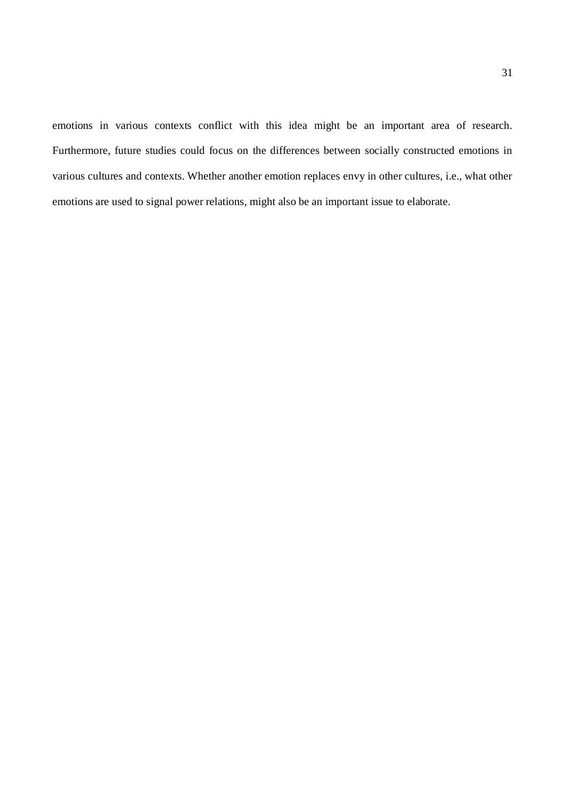emotions in various contexts conflict with this idea might be an important area of research. Furthermore, future studies could focus on the differences between socially constructed emotions in various cultures and contexts. Whether another emotion replaces envy in other cultures, i.e., what other emotions are used to signal power relations, might also be an important issue to elaborate.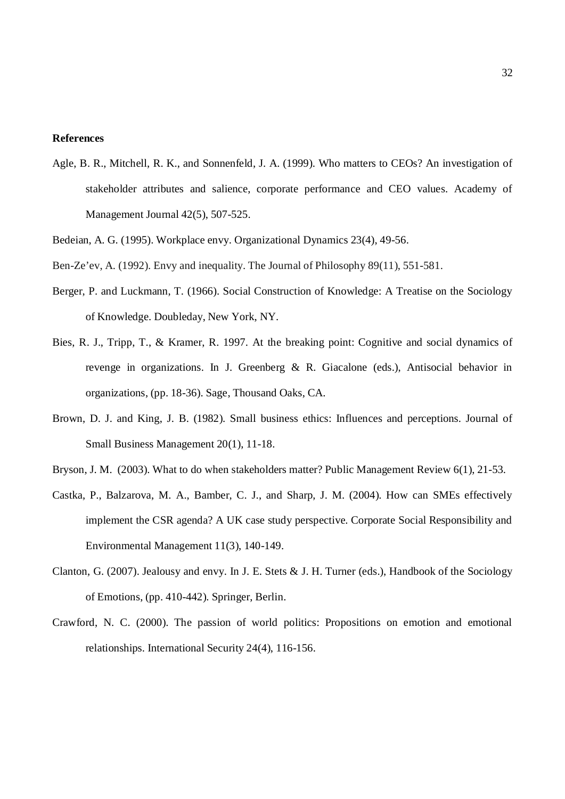## **References**

- Agle, B. R., Mitchell, R. K., and Sonnenfeld, J. A. (1999). Who matters to CEOs? An investigation of stakeholder attributes and salience, corporate performance and CEO values. Academy of Management Journal 42(5), 507-525.
- Bedeian, A. G. (1995). Workplace envy. Organizational Dynamics 23(4), 49-56.
- Ben-Ze'ev, A. (1992). Envy and inequality. The Journal of Philosophy 89(11), 551-581.
- Berger, P. and Luckmann, T. (1966). Social Construction of Knowledge: A Treatise on the Sociology of Knowledge. Doubleday, New York, NY.
- Bies, R. J., Tripp, T., & Kramer, R. 1997. At the breaking point: Cognitive and social dynamics of revenge in organizations. In J. Greenberg & R. Giacalone (eds.), Antisocial behavior in organizations, (pp. 18-36). Sage, Thousand Oaks, CA.
- Brown, D. J. and King, J. B. (1982). Small business ethics: Influences and perceptions. Journal of Small Business Management 20(1), 11-18.
- Bryson, J. M. (2003). What to do when stakeholders matter? Public Management Review 6(1), 21-53.
- Castka, P., Balzarova, M. A., Bamber, C. J., and Sharp, J. M. (2004). How can SMEs effectively implement the CSR agenda? A UK case study perspective. Corporate Social Responsibility and Environmental Management 11(3), 140-149.
- Clanton, G. (2007). Jealousy and envy. In J. E. Stets & J. H. Turner (eds.), Handbook of the Sociology of Emotions, (pp. 410-442). Springer, Berlin.
- Crawford, N. C. (2000). The passion of world politics: Propositions on emotion and emotional relationships. International Security 24(4), 116-156.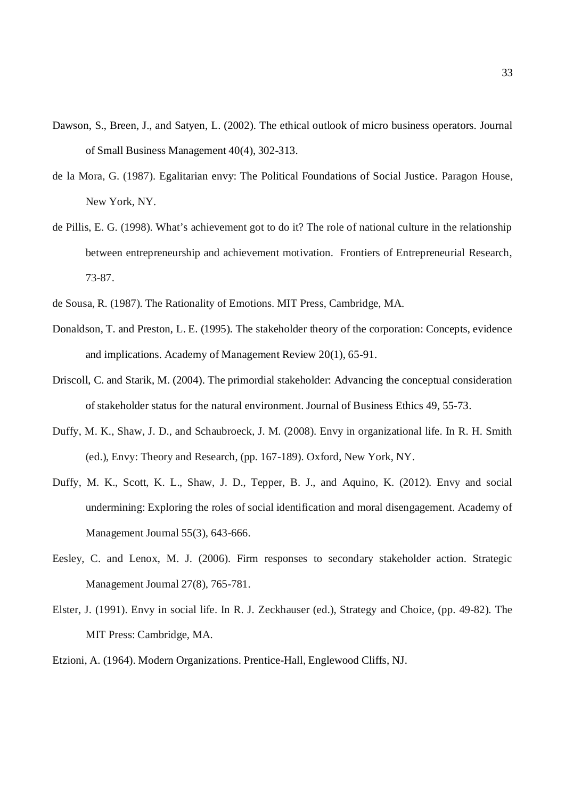- Dawson, S., Breen, J., and Satyen, L. (2002). The ethical outlook of micro business operators. Journal of Small Business Management 40(4), 302-313.
- de la Mora, G. (1987). Egalitarian envy: The Political Foundations of Social Justice. Paragon House, New York, NY.
- de Pillis, E. G. (1998). What's achievement got to do it? The role of national culture in the relationship between entrepreneurship and achievement motivation. Frontiers of Entrepreneurial Research, 73-87.
- de Sousa, R. (1987). The Rationality of Emotions. MIT Press, Cambridge, MA.
- Donaldson, T. and Preston, L. E. (1995). The stakeholder theory of the corporation: Concepts, evidence and implications. Academy of Management Review 20(1), 65-91.
- Driscoll, C. and Starik, M. (2004). The primordial stakeholder: Advancing the conceptual consideration of stakeholder status for the natural environment. Journal of Business Ethics 49, 55-73.
- Duffy, M. K., Shaw, J. D., and Schaubroeck, J. M. (2008). Envy in organizational life. In R. H. Smith (ed.), Envy: Theory and Research, (pp. 167-189). Oxford, New York, NY.
- Duffy, M. K., Scott, K. L., Shaw, J. D., Tepper, B. J., and Aquino, K. (2012). Envy and social undermining: Exploring the roles of social identification and moral disengagement. Academy of Management Journal 55(3), 643-666.
- Eesley, C. and Lenox, M. J. (2006). Firm responses to secondary stakeholder action. Strategic Management Journal 27(8), 765-781.
- Elster, J. (1991). Envy in social life. In R. J. Zeckhauser (ed.), Strategy and Choice, (pp. 49-82). The MIT Press: Cambridge, MA.
- Etzioni, A. (1964). Modern Organizations. Prentice-Hall, Englewood Cliffs, NJ.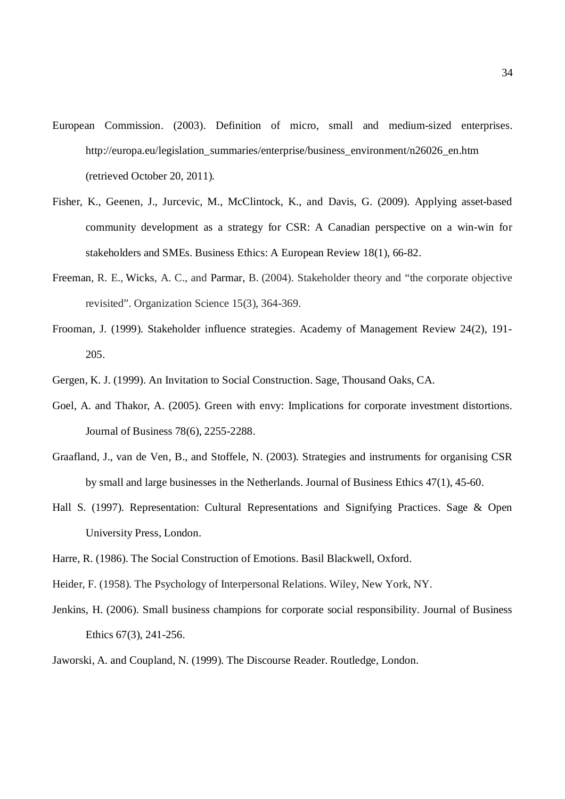- European Commission. (2003). Definition of micro, small and medium-sized enterprises*.* http://europa.eu/legislation\_summaries/enterprise/business\_environment/n26026\_en.htm (retrieved October 20, 2011).
- Fisher, K., Geenen, J., Jurcevic, M., McClintock, K., and Davis, G. (2009). Applying asset-based community development as a strategy for CSR: A Canadian perspective on a win-win for stakeholders and SMEs. Business Ethics: A European Review 18(1), 66-82.
- Freeman, R. E., Wicks, A. C., and Parmar, B. (2004). Stakeholder theory and "the corporate objective revisited". Organization Science 15(3), 364-369.
- Frooman, J. (1999). Stakeholder influence strategies. Academy of Management Review 24(2), 191- 205.
- Gergen, K. J. (1999). An Invitation to Social Construction. Sage, Thousand Oaks, CA.
- Goel, A. and Thakor, A. (2005). Green with envy: Implications for corporate investment distortions. Journal of Business 78(6), 2255-2288.
- Graafland, J., van de Ven, B., and Stoffele, N. (2003). Strategies and instruments for organising CSR by small and large businesses in the Netherlands. Journal of Business Ethics 47(1), 45-60.
- Hall S. (1997). Representation: Cultural Representations and Signifying Practices. Sage & Open University Press, London.
- Harre, R. (1986). The Social Construction of Emotions. Basil Blackwell, Oxford.
- Heider, F. (1958). The Psychology of Interpersonal Relations. Wiley, New York, NY.
- Jenkins, H. (2006). Small business champions for corporate social responsibility. Journal of Business Ethics 67(3), 241-256.
- Jaworski, A. and Coupland, N. (1999). The Discourse Reader. Routledge, London.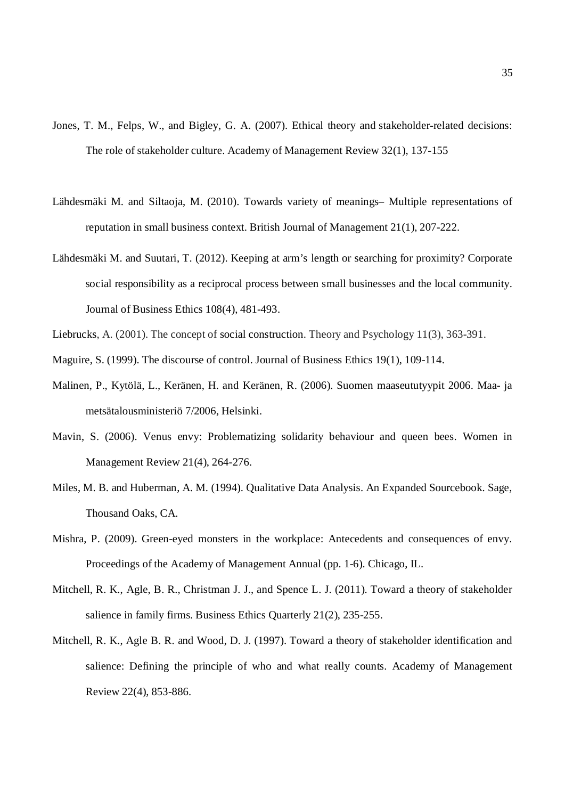- Jones, T. M., Felps, W., and Bigley, G. A. (2007). Ethical theory and stakeholder-related decisions: The role of stakeholder culture. Academy of Management Review 32(1), 137-155
- Lähdesmäki M. and Siltaoja, M. (2010). Towards variety of meanings– Multiple representations of reputation in small business context. British Journal of Management 21(1), 207-222.
- Lähdesmäki M. and Suutari, T. (2012). Keeping at arm's length or searching for proximity? Corporate social responsibility as a reciprocal process between small businesses and the local community. Journal of Business Ethics 108(4), 481-493.
- Liebrucks, A. (2001). The concept of social construction. Theory and Psychology 11(3), 363-391.
- Maguire, S. (1999). The discourse of control. Journal of Business Ethics 19(1), 109-114.
- Malinen, P., Kytölä, L., Keränen, H. and Keränen, R. (2006). Suomen maaseututyypit 2006. Maa- ja metsätalousministeriö 7/2006, Helsinki.
- Mavin, S. (2006). Venus envy: Problematizing solidarity behaviour and queen bees. Women in Management Review 21(4), 264-276.
- Miles, M. B. and Huberman, A. M. (1994). Qualitative Data Analysis. An Expanded Sourcebook. Sage, Thousand Oaks, CA.
- Mishra, P. (2009). Green-eyed monsters in the workplace: Antecedents and consequences of envy. Proceedings of the Academy of Management Annual (pp. 1-6). Chicago, IL.
- Mitchell, R. K., Agle, B. R., Christman J. J., and Spence L. J. (2011). Toward a theory of stakeholder salience in family firms. Business Ethics Quarterly 21(2), 235-255.
- Mitchell, R. K., Agle B. R. and Wood, D. J. (1997). Toward a theory of stakeholder identification and salience: Defining the principle of who and what really counts. Academy of Management Review 22(4), 853-886.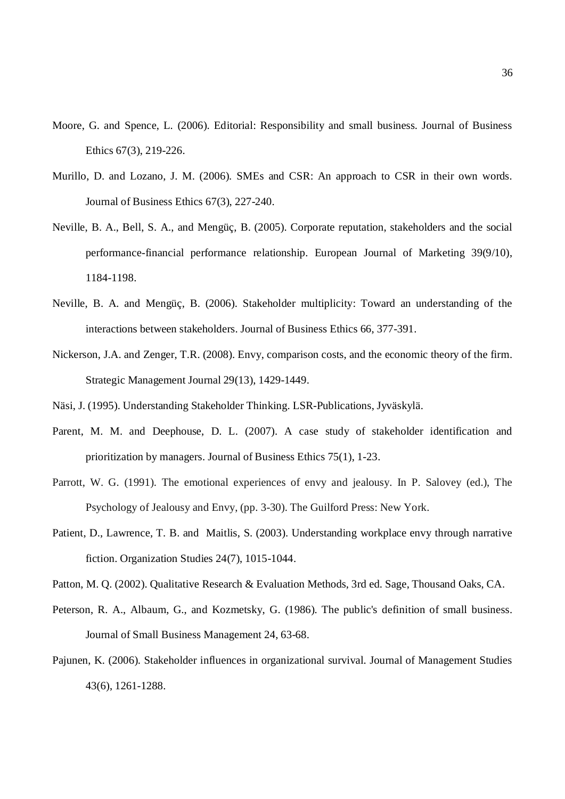- Moore, G. and Spence, L. (2006). Editorial: Responsibility and small business. Journal of Business Ethics 67(3), 219-226.
- Murillo, D. and Lozano, J. M. (2006). SMEs and CSR: An approach to CSR in their own words. Journal of Business Ethics 67(3), 227-240.
- Neville, B. A., Bell, S. A., and Mengüç, B. (2005). Corporate reputation, stakeholders and the social performance-financial performance relationship. European Journal of Marketing 39(9/10), 1184-1198.
- Neville, B. A. and Mengüç, B. (2006). Stakeholder multiplicity: Toward an understanding of the interactions between stakeholders. Journal of Business Ethics 66, 377-391.
- Nickerson, J.A. and Zenger, T.R. (2008). Envy, comparison costs, and the economic theory of the firm. Strategic Management Journal 29(13), 1429-1449.
- Näsi, J. (1995). Understanding Stakeholder Thinking. LSR-Publications, Jyväskylä.
- Parent, M. M. and Deephouse, D. L. (2007). A case study of stakeholder identification and prioritization by managers. Journal of Business Ethics 75(1), 1-23.
- Parrott, W. G. (1991). The emotional experiences of envy and jealousy. In P. Salovey (ed.), The Psychology of Jealousy and Envy, (pp. 3-30). The Guilford Press: New York.
- Patient, D., Lawrence, T. B. and Maitlis, S. (2003). Understanding workplace envy through narrative fiction. Organization Studies 24(7), 1015-1044.
- Patton, M. Q. (2002). Qualitative Research & Evaluation Methods, 3rd ed. Sage, Thousand Oaks, CA.
- Peterson, R. A., Albaum, G., and Kozmetsky, G. (1986). The public's definition of small business. Journal of Small Business Management 24, 63-68.
- Pajunen, K. (2006). Stakeholder influences in organizational survival. Journal of Management Studies 43(6), 1261-1288.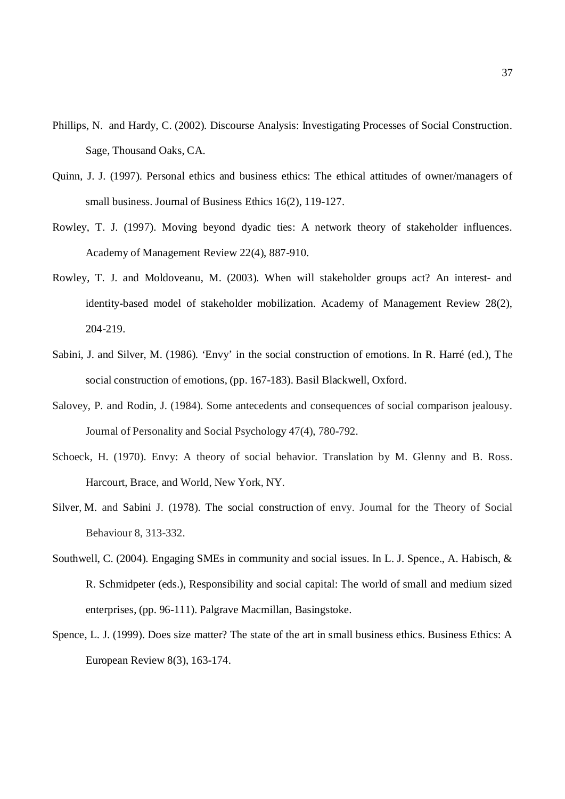- Phillips, N. and Hardy, C. (2002). Discourse Analysis: Investigating Processes of Social Construction. Sage, Thousand Oaks, CA.
- Quinn, J. J. (1997). Personal ethics and business ethics: The ethical attitudes of owner/managers of small business. Journal of Business Ethics 16(2), 119-127.
- Rowley, T. J. (1997). Moving beyond dyadic ties: A network theory of stakeholder influences. Academy of Management Review 22(4), 887-910.
- Rowley, T. J. and Moldoveanu, M. (2003). When will stakeholder groups act? An interest- and identity-based model of stakeholder mobilization. Academy of Management Review 28(2), 204-219.
- Sabini, J. and Silver, M. (1986). 'Envy' in the social construction of emotions. In R. Harré (ed.), The social construction of emotions, (pp. 167-183). Basil Blackwell, Oxford.
- Salovey, P. and Rodin, J. (1984). Some antecedents and consequences of social comparison jealousy. Journal of Personality and Social Psychology 47(4), 780-792.
- Schoeck, H. (1970). Envy: A theory of social behavior. Translation by M. Glenny and B. Ross. Harcourt, Brace, and World, New York, NY.
- Silver, M. and Sabini J. (1978). The social construction of envy. Journal for the Theory of Social Behaviour 8, 313-332.
- Southwell, C. (2004). Engaging SMEs in community and social issues. In L. J. Spence., A. Habisch, & R. Schmidpeter (eds.), Responsibility and social capital: The world of small and medium sized enterprises, (pp. 96-111). Palgrave Macmillan, Basingstoke.
- Spence, L. J. (1999). Does size matter? The state of the art in small business ethics. Business Ethics: A European Review 8(3), 163-174.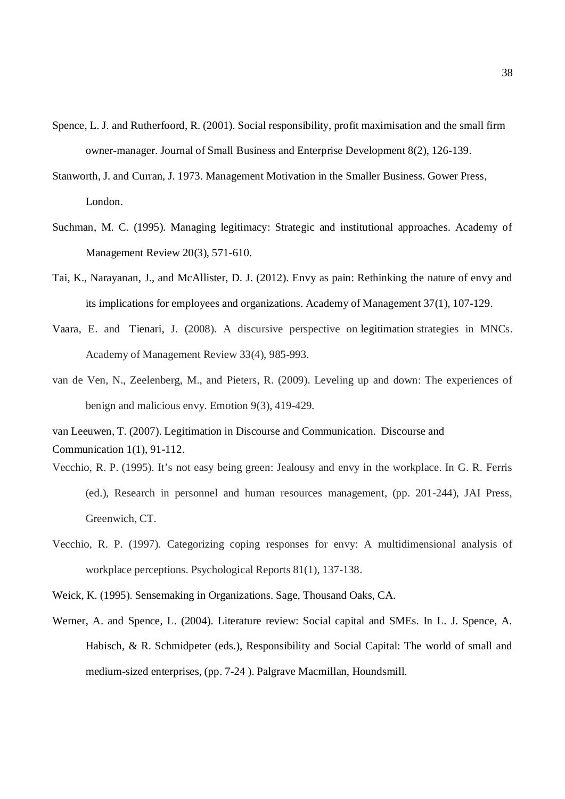- Spence, L. J. and Rutherfoord, R. (2001). Social responsibility, profit maximisation and the small firm owner-manager. Journal of Small Business and Enterprise Development 8(2), 126-139.
- Stanworth, J. and Curran, J. 1973. Management Motivation in the Smaller Business. Gower Press, London.
- Suchman, M. C. (1995). Managing legitimacy: Strategic and institutional approaches. Academy of Management Review 20(3), 571-610.
- Tai, K., Narayanan, J., and McAllister, D. J. (2012). Envy as pain: Rethinking the nature of envy and its implications for employees and organizations. Academy of Management 37(1), 107-129.
- Vaara, E. and Tienari, J. (2008). A discursive perspective on legitimation strategies in MNCs. Academy of Management Review 33(4), 985-993.
- van de Ven, N., Zeelenberg, M., and Pieters, R. (2009). Leveling up and down: The experiences of benign and malicious envy. Emotion 9(3), 419-429.

van Leeuwen, T. (2007). Legitimation in Discourse and Communication. Discourse and Communication 1(1), 91-112.

- Vecchio, R. P. (1995). It's not easy being green: Jealousy and envy in the workplace. In G. R. Ferris (ed.), Research in personnel and human resources management, (pp. 201-244), JAI Press, Greenwich, CT.
- Vecchio, R. P. (1997). Categorizing coping responses for envy: A multidimensional analysis of workplace perceptions. Psychological Reports 81(1), 137-138.
- Weick, K. (1995). Sensemaking in Organizations. Sage, Thousand Oaks, CA.
- Werner, A. and Spence, L. (2004). Literature review: Social capital and SMEs. In L. J. Spence, A. Habisch, & R. Schmidpeter (eds.), Responsibility and Social Capital: The world of small and medium-sized enterprises, (pp. 7-24 ). Palgrave Macmillan, Houndsmill.